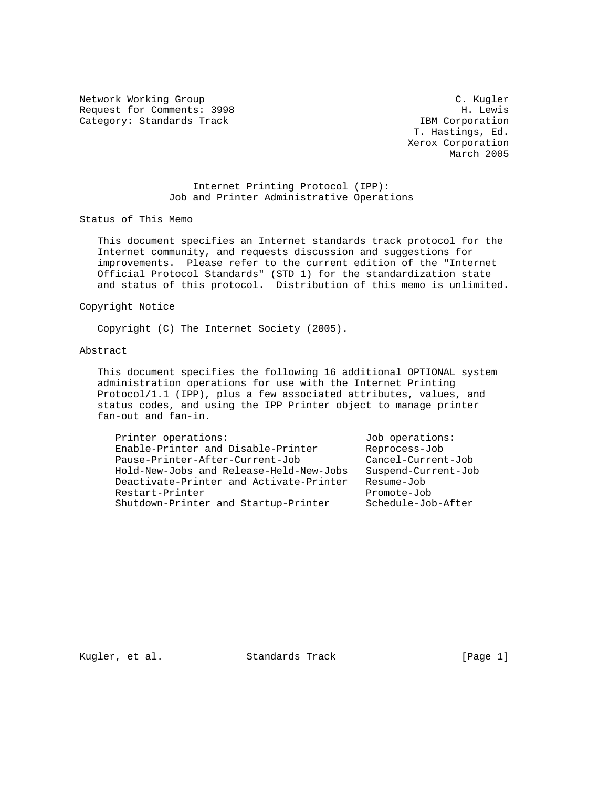Network Working Group C. C. Kugler Request for Comments: 3998 H. Lewis Category: Standards Track IBM Corporation

 T. Hastings, Ed. Xerox Corporation March 2005

## Internet Printing Protocol (IPP): Job and Printer Administrative Operations

Status of This Memo

 This document specifies an Internet standards track protocol for the Internet community, and requests discussion and suggestions for improvements. Please refer to the current edition of the "Internet Official Protocol Standards" (STD 1) for the standardization state and status of this protocol. Distribution of this memo is unlimited.

#### Copyright Notice

Copyright (C) The Internet Society (2005).

#### Abstract

 This document specifies the following 16 additional OPTIONAL system administration operations for use with the Internet Printing Protocol/1.1 (IPP), plus a few associated attributes, values, and status codes, and using the IPP Printer object to manage printer fan-out and fan-in.

| Printer operations:                     | Job operations:     |
|-----------------------------------------|---------------------|
| Enable-Printer and Disable-Printer      | Reprocess-Job       |
| Pause-Printer-After-Current-Job         | Cancel-Current-Job  |
| Hold-New-Jobs and Release-Held-New-Jobs | Suspend-Current-Job |
| Deactivate-Printer and Activate-Printer | Resume-Job          |
| Restart-Printer                         | Promote-Job         |
| Shutdown-Printer and Startup-Printer    | Schedule-Job-After  |
|                                         |                     |

Kugler, et al. Standards Track [Page 1]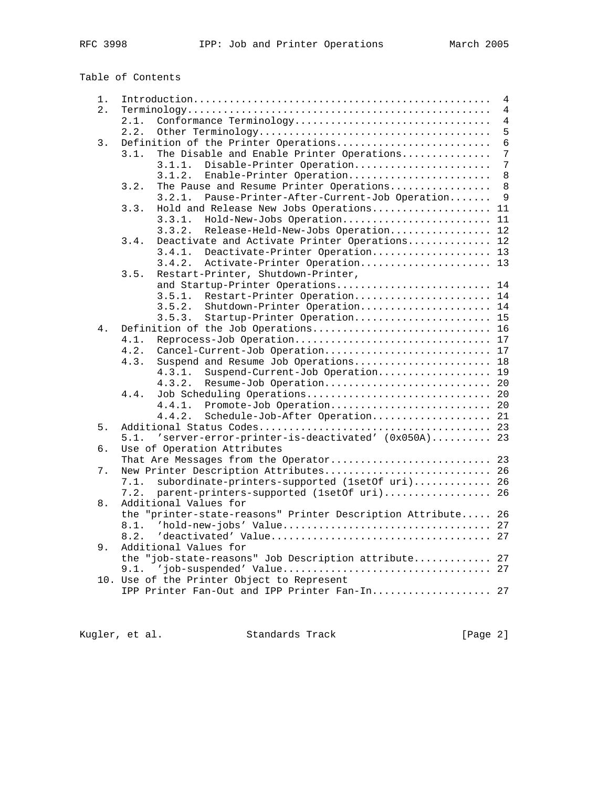| Table of Contents |  |
|-------------------|--|
|-------------------|--|

| 1. | $\overline{4}$                                                                              |                |  |  |  |  |
|----|---------------------------------------------------------------------------------------------|----------------|--|--|--|--|
| 2. |                                                                                             | $\overline{4}$ |  |  |  |  |
|    | Conformance Terminology<br>2.1.                                                             | $\overline{4}$ |  |  |  |  |
|    | 2.2.                                                                                        | 5              |  |  |  |  |
| 3. | Definition of the Printer Operations                                                        | $\overline{6}$ |  |  |  |  |
|    | The Disable and Enable Printer Operations<br>3.1.                                           | $\overline{7}$ |  |  |  |  |
|    | Disable-Printer Operation<br>3.1.1.                                                         | 7              |  |  |  |  |
|    | Enable-Printer Operation<br>3.1.2.                                                          | $\,8\,$        |  |  |  |  |
|    | The Pause and Resume Printer Operations<br>3.2.                                             | $\,8\,$        |  |  |  |  |
|    | 3.2.1.<br>Pause-Printer-After-Current-Job Operation                                         | 9              |  |  |  |  |
|    | Hold and Release New Jobs Operations<br>11<br>3.3.                                          |                |  |  |  |  |
|    | Hold-New-Jobs Operation<br>11<br>3.3.1.                                                     |                |  |  |  |  |
|    | Release-Held-New-Jobs Operation 12<br>3.3.2.                                                |                |  |  |  |  |
|    | Deactivate and Activate Printer Operations 12<br>3.4.                                       |                |  |  |  |  |
|    | Deactivate-Printer Operation 13                                                             |                |  |  |  |  |
|    | 3.4.1.                                                                                      |                |  |  |  |  |
|    | 3.4.2.<br>Activate-Printer Operation 13                                                     |                |  |  |  |  |
|    | Restart-Printer, Shutdown-Printer,<br>3.5.                                                  |                |  |  |  |  |
|    | and Startup-Printer Operations 14                                                           |                |  |  |  |  |
|    | Restart-Printer Operation 14<br>3.5.1.                                                      |                |  |  |  |  |
|    | 3.5.2.<br>Shutdown-Printer Operation 14                                                     |                |  |  |  |  |
|    | Startup-Printer Operation 15<br>3.5.3.                                                      |                |  |  |  |  |
| 4. | Definition of the Job Operations 16                                                         |                |  |  |  |  |
|    | Reprocess-Job Operation 17<br>4.1.                                                          |                |  |  |  |  |
|    | Cancel-Current-Job Operation 17<br>4.2.                                                     |                |  |  |  |  |
|    | 4.3.<br>Suspend and Resume Job Operations 18                                                |                |  |  |  |  |
|    | Suspend-Current-Job Operation 19<br>4.3.1.                                                  |                |  |  |  |  |
|    | 4.3.2.<br>Resume-Job Operation 20                                                           |                |  |  |  |  |
|    | Job Scheduling Operations 20<br>4.4.                                                        |                |  |  |  |  |
|    | 4.4.1.<br>Promote-Job Operation 20                                                          |                |  |  |  |  |
|    | Schedule-Job-After Operation 21<br>4.4.2.                                                   |                |  |  |  |  |
| 5. |                                                                                             |                |  |  |  |  |
|    | 5.1. 'server-error-printer-is-deactivated' (0x050A) 23                                      |                |  |  |  |  |
| б. | Use of Operation Attributes                                                                 |                |  |  |  |  |
|    | That Are Messages from the Operator 23                                                      |                |  |  |  |  |
| 7. | New Printer Description Attributes 26                                                       |                |  |  |  |  |
|    | subordinate-printers-supported (1setOf uri) 26<br>7.1.                                      |                |  |  |  |  |
|    | parent-printers-supported (1setOf uri) 26<br>7.2.                                           |                |  |  |  |  |
| 8. | Additional Values for                                                                       |                |  |  |  |  |
|    | the "printer-state-reasons" Printer Description Attribute 26                                |                |  |  |  |  |
|    | 8.1.                                                                                        |                |  |  |  |  |
|    | 8.2.                                                                                        |                |  |  |  |  |
| 9. | Additional Values for                                                                       |                |  |  |  |  |
|    | the "job-state-reasons" Job Description attribute 27                                        |                |  |  |  |  |
|    |                                                                                             |                |  |  |  |  |
|    |                                                                                             |                |  |  |  |  |
|    | 10. Use of the Printer Object to Represent<br>IPP Printer Fan-Out and IPP Printer Fan-In 27 |                |  |  |  |  |
|    |                                                                                             |                |  |  |  |  |
|    |                                                                                             |                |  |  |  |  |

Kugler, et al. Standards Track [Page 2]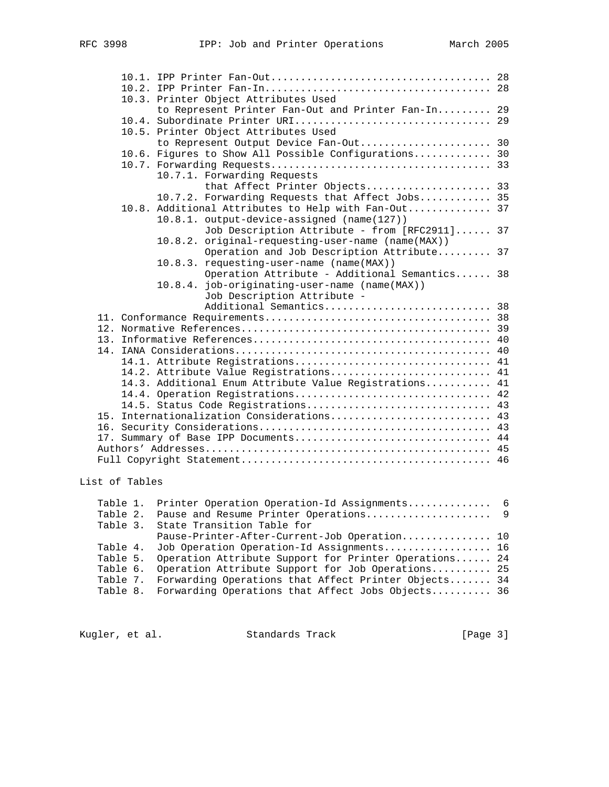|                                                        |                                                                                        | 10.3. Printer Object Attributes Used                                                   |  |  |  |  |
|--------------------------------------------------------|----------------------------------------------------------------------------------------|----------------------------------------------------------------------------------------|--|--|--|--|
|                                                        | to Represent Printer Fan-Out and Printer Fan-In 29<br>10.4. Subordinate Printer URI 29 |                                                                                        |  |  |  |  |
|                                                        |                                                                                        | 10.5. Printer Object Attributes Used                                                   |  |  |  |  |
|                                                        |                                                                                        | to Represent Output Device Fan-Out 30                                                  |  |  |  |  |
|                                                        |                                                                                        | 10.6. Figures to Show All Possible Configurations 30                                   |  |  |  |  |
|                                                        |                                                                                        |                                                                                        |  |  |  |  |
|                                                        |                                                                                        | 10.7.1. Forwarding Requests                                                            |  |  |  |  |
|                                                        |                                                                                        | that Affect Printer Objects 33                                                         |  |  |  |  |
|                                                        |                                                                                        | 10.7.2. Forwarding Requests that Affect Jobs 35                                        |  |  |  |  |
|                                                        |                                                                                        | 10.8. Additional Attributes to Help with Fan-Out 37                                    |  |  |  |  |
|                                                        |                                                                                        | 10.8.1. output-device-assigned (name(127))                                             |  |  |  |  |
|                                                        |                                                                                        | Job Description Attribute - from [RFC2911] 37                                          |  |  |  |  |
|                                                        |                                                                                        | 10.8.2. original-requesting-user-name (name(MAX))                                      |  |  |  |  |
|                                                        |                                                                                        | Operation and Job Description Attribute 37<br>10.8.3. requesting-user-name (name(MAX)) |  |  |  |  |
|                                                        |                                                                                        | Operation Attribute - Additional Semantics 38                                          |  |  |  |  |
|                                                        |                                                                                        | 10.8.4. job-originating-user-name (name(MAX))                                          |  |  |  |  |
|                                                        |                                                                                        | Job Description Attribute -                                                            |  |  |  |  |
|                                                        |                                                                                        | Additional Semantics 38                                                                |  |  |  |  |
|                                                        |                                                                                        |                                                                                        |  |  |  |  |
|                                                        |                                                                                        |                                                                                        |  |  |  |  |
|                                                        |                                                                                        |                                                                                        |  |  |  |  |
|                                                        |                                                                                        |                                                                                        |  |  |  |  |
|                                                        |                                                                                        | 14.1. Attribute Registrations 41                                                       |  |  |  |  |
|                                                        |                                                                                        | 14.2. Attribute Value Registrations 41                                                 |  |  |  |  |
| 14.3. Additional Enum Attribute Value Registrations 41 |                                                                                        |                                                                                        |  |  |  |  |
|                                                        |                                                                                        | 14.4. Operation Registrations 42                                                       |  |  |  |  |
| 14.5. Status Code Registrations 43                     |                                                                                        |                                                                                        |  |  |  |  |
|                                                        |                                                                                        | 15. Internationalization Considerations 43                                             |  |  |  |  |
|                                                        |                                                                                        | 17. Summary of Base IPP Documents 44                                                   |  |  |  |  |
|                                                        |                                                                                        |                                                                                        |  |  |  |  |
|                                                        |                                                                                        |                                                                                        |  |  |  |  |
|                                                        |                                                                                        |                                                                                        |  |  |  |  |

## List of Tables

|  | Table 1. Printer Operation Operation-Id Assignments 6          |  |
|--|----------------------------------------------------------------|--|
|  |                                                                |  |
|  | Table 3. State Transition Table for                            |  |
|  | Pause-Printer-After-Current-Job Operation 10                   |  |
|  | Table 4. Job Operation Operation-Id Assignments 16             |  |
|  | Table 5. Operation Attribute Support for Printer Operations 24 |  |
|  | Table 6. Operation Attribute Support for Job Operations 25     |  |
|  | Table 7. Forwarding Operations that Affect Printer Objects 34  |  |
|  | Table 8. Forwarding Operations that Affect Jobs Objects 36     |  |
|  |                                                                |  |

Kugler, et al. Standards Track [Page 3]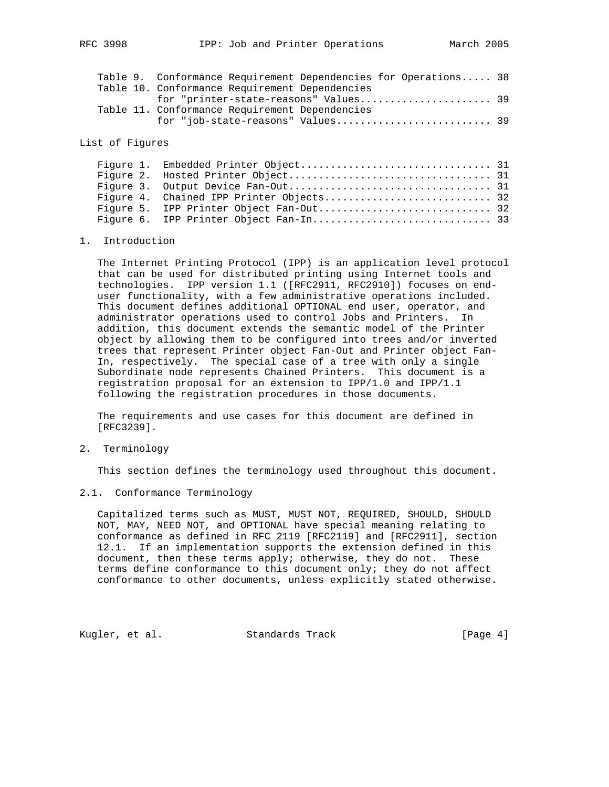|  | Table 9. Conformance Requirement Dependencies for Operations 38 |  |
|--|-----------------------------------------------------------------|--|
|  | Table 10. Conformance Requirement Dependencies                  |  |
|  | for "printer-state-reasons" Values 39                           |  |
|  | Table 11. Conformance Requirement Dependencies                  |  |
|  |                                                                 |  |
|  |                                                                 |  |

#### List of Figures

#### 1. Introduction

 The Internet Printing Protocol (IPP) is an application level protocol that can be used for distributed printing using Internet tools and technologies. IPP version 1.1 ([RFC2911, RFC2910]) focuses on end user functionality, with a few administrative operations included. This document defines additional OPTIONAL end user, operator, and administrator operations used to control Jobs and Printers. In addition, this document extends the semantic model of the Printer object by allowing them to be configured into trees and/or inverted trees that represent Printer object Fan-Out and Printer object Fan- In, respectively. The special case of a tree with only a single Subordinate node represents Chained Printers. This document is a registration proposal for an extension to IPP/1.0 and IPP/1.1 following the registration procedures in those documents.

 The requirements and use cases for this document are defined in [RFC3239].

2. Terminology

This section defines the terminology used throughout this document.

2.1. Conformance Terminology

 Capitalized terms such as MUST, MUST NOT, REQUIRED, SHOULD, SHOULD NOT, MAY, NEED NOT, and OPTIONAL have special meaning relating to conformance as defined in RFC 2119 [RFC2119] and [RFC2911], section 12.1. If an implementation supports the extension defined in this document, then these terms apply; otherwise, they do not. These terms define conformance to this document only; they do not affect conformance to other documents, unless explicitly stated otherwise.

Kugler, et al. Standards Track [Page 4]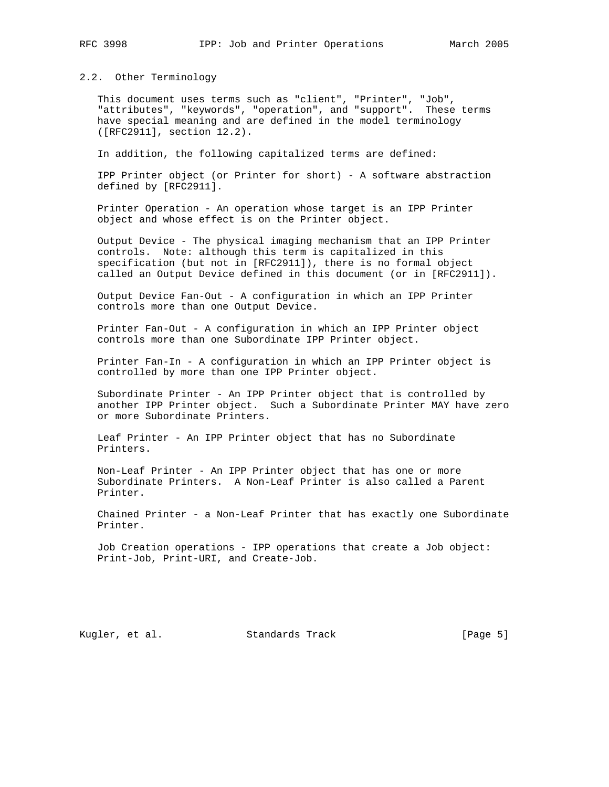#### 2.2. Other Terminology

 This document uses terms such as "client", "Printer", "Job", "attributes", "keywords", "operation", and "support". These terms have special meaning and are defined in the model terminology ([RFC2911], section 12.2).

In addition, the following capitalized terms are defined:

 IPP Printer object (or Printer for short) - A software abstraction defined by [RFC2911].

 Printer Operation - An operation whose target is an IPP Printer object and whose effect is on the Printer object.

 Output Device - The physical imaging mechanism that an IPP Printer controls. Note: although this term is capitalized in this specification (but not in [RFC2911]), there is no formal object called an Output Device defined in this document (or in [RFC2911]).

 Output Device Fan-Out - A configuration in which an IPP Printer controls more than one Output Device.

 Printer Fan-Out - A configuration in which an IPP Printer object controls more than one Subordinate IPP Printer object.

 Printer Fan-In - A configuration in which an IPP Printer object is controlled by more than one IPP Printer object.

 Subordinate Printer - An IPP Printer object that is controlled by another IPP Printer object. Such a Subordinate Printer MAY have zero or more Subordinate Printers.

 Leaf Printer - An IPP Printer object that has no Subordinate Printers.

 Non-Leaf Printer - An IPP Printer object that has one or more Subordinate Printers. A Non-Leaf Printer is also called a Parent Printer.

 Chained Printer - a Non-Leaf Printer that has exactly one Subordinate Printer.

 Job Creation operations - IPP operations that create a Job object: Print-Job, Print-URI, and Create-Job.

Kugler, et al. Standards Track [Page 5]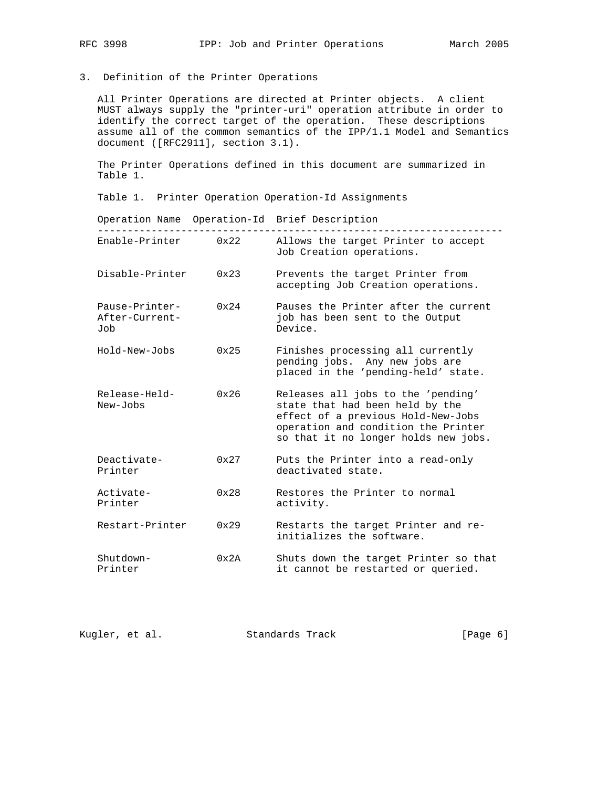## 3. Definition of the Printer Operations

 All Printer Operations are directed at Printer objects. A client MUST always supply the "printer-uri" operation attribute in order to identify the correct target of the operation. These descriptions assume all of the common semantics of the IPP/1.1 Model and Semantics document ([RFC2911], section 3.1).

 The Printer Operations defined in this document are summarized in Table 1.

Table 1. Printer Operation Operation-Id Assignments

|                                         |               | Operation Name Operation-Id Brief Description                                                                                                                                              |
|-----------------------------------------|---------------|--------------------------------------------------------------------------------------------------------------------------------------------------------------------------------------------|
| Enable-Printer                          | 0x22          | Allows the target Printer to accept<br>Job Creation operations.                                                                                                                            |
| Disable-Printer                         | $0 \times 23$ | Prevents the target Printer from<br>accepting Job Creation operations.                                                                                                                     |
| Pause-Printer-<br>After-Current-<br>Job | $0 \times 24$ | Pauses the Printer after the current<br>job has been sent to the Output<br>Device.                                                                                                         |
| Hold-New-Jobs                           | 0x25          | Finishes processing all currently<br>pending jobs. Any new jobs are<br>placed in the 'pending-held' state.                                                                                 |
| Release-Held-<br>New-Jobs               | $0 \times 26$ | Releases all jobs to the 'pending'<br>state that had been held by the<br>effect of a previous Hold-New-Jobs<br>operation and condition the Printer<br>so that it no longer holds new jobs. |
| Deactivate-<br>Printer                  | $0 \times 27$ | Puts the Printer into a read-only<br>deactivated state.                                                                                                                                    |
| Activate-<br>Printer                    | 0x28          | Restores the Printer to normal<br>activity.                                                                                                                                                |
| Restart-Printer                         | 0x29          | Restarts the target Printer and re-<br>initializes the software.                                                                                                                           |
| Shutdown-<br>Printer                    | 0x2A          | Shuts down the target Printer so that<br>it cannot be restarted or queried.                                                                                                                |

Kugler, et al. Standards Track [Page 6]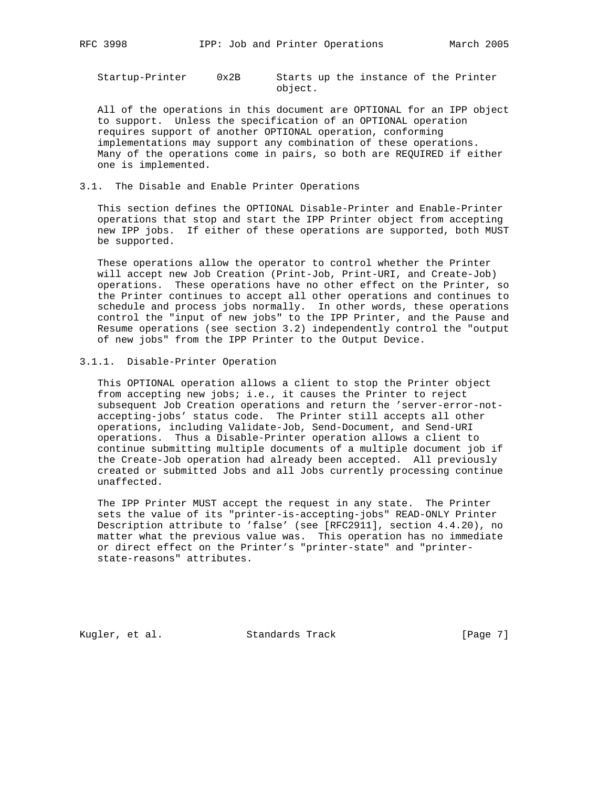Startup-Printer 0x2B Starts up the instance of the Printer object.

 All of the operations in this document are OPTIONAL for an IPP object to support. Unless the specification of an OPTIONAL operation requires support of another OPTIONAL operation, conforming implementations may support any combination of these operations. Many of the operations come in pairs, so both are REQUIRED if either one is implemented.

3.1. The Disable and Enable Printer Operations

 This section defines the OPTIONAL Disable-Printer and Enable-Printer operations that stop and start the IPP Printer object from accepting new IPP jobs. If either of these operations are supported, both MUST be supported.

 These operations allow the operator to control whether the Printer will accept new Job Creation (Print-Job, Print-URI, and Create-Job) operations. These operations have no other effect on the Printer, so the Printer continues to accept all other operations and continues to schedule and process jobs normally. In other words, these operations control the "input of new jobs" to the IPP Printer, and the Pause and Resume operations (see section 3.2) independently control the "output of new jobs" from the IPP Printer to the Output Device.

3.1.1. Disable-Printer Operation

 This OPTIONAL operation allows a client to stop the Printer object from accepting new jobs; i.e., it causes the Printer to reject subsequent Job Creation operations and return the 'server-error-not accepting-jobs' status code. The Printer still accepts all other operations, including Validate-Job, Send-Document, and Send-URI operations. Thus a Disable-Printer operation allows a client to continue submitting multiple documents of a multiple document job if the Create-Job operation had already been accepted. All previously created or submitted Jobs and all Jobs currently processing continue unaffected.

 The IPP Printer MUST accept the request in any state. The Printer sets the value of its "printer-is-accepting-jobs" READ-ONLY Printer Description attribute to 'false' (see [RFC2911], section 4.4.20), no matter what the previous value was. This operation has no immediate or direct effect on the Printer's "printer-state" and "printer state-reasons" attributes.

Kugler, et al. Standards Track [Page 7]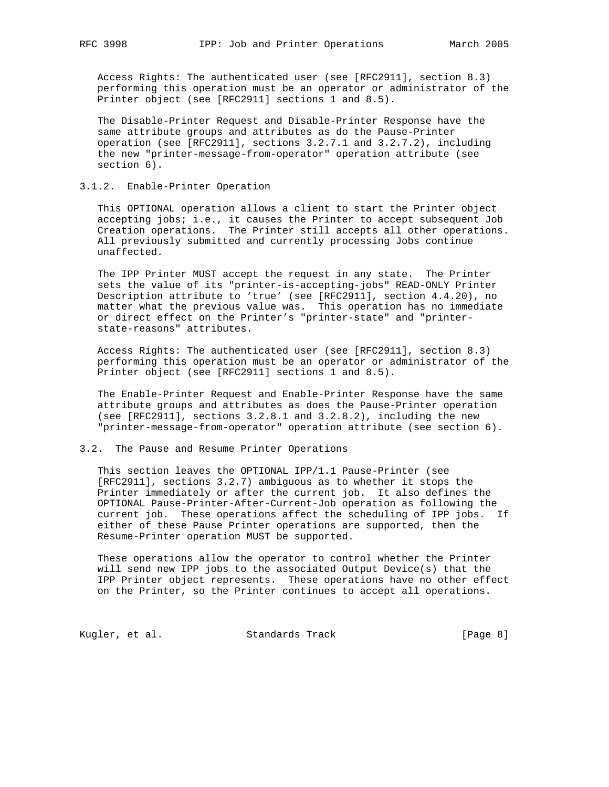Access Rights: The authenticated user (see [RFC2911], section 8.3) performing this operation must be an operator or administrator of the Printer object (see [RFC2911] sections 1 and 8.5).

 The Disable-Printer Request and Disable-Printer Response have the same attribute groups and attributes as do the Pause-Printer operation (see [RFC2911], sections 3.2.7.1 and 3.2.7.2), including the new "printer-message-from-operator" operation attribute (see section 6).

## 3.1.2. Enable-Printer Operation

 This OPTIONAL operation allows a client to start the Printer object accepting jobs; i.e., it causes the Printer to accept subsequent Job Creation operations. The Printer still accepts all other operations. All previously submitted and currently processing Jobs continue unaffected.

 The IPP Printer MUST accept the request in any state. The Printer sets the value of its "printer-is-accepting-jobs" READ-ONLY Printer Description attribute to 'true' (see [RFC2911], section 4.4.20), no matter what the previous value was. This operation has no immediate or direct effect on the Printer's "printer-state" and "printer state-reasons" attributes.

 Access Rights: The authenticated user (see [RFC2911], section 8.3) performing this operation must be an operator or administrator of the Printer object (see [RFC2911] sections 1 and 8.5).

 The Enable-Printer Request and Enable-Printer Response have the same attribute groups and attributes as does the Pause-Printer operation (see [RFC2911], sections 3.2.8.1 and 3.2.8.2), including the new "printer-message-from-operator" operation attribute (see section 6).

#### 3.2. The Pause and Resume Printer Operations

 This section leaves the OPTIONAL IPP/1.1 Pause-Printer (see [RFC2911], sections 3.2.7) ambiguous as to whether it stops the Printer immediately or after the current job. It also defines the OPTIONAL Pause-Printer-After-Current-Job operation as following the current job. These operations affect the scheduling of IPP jobs. If either of these Pause Printer operations are supported, then the Resume-Printer operation MUST be supported.

 These operations allow the operator to control whether the Printer will send new IPP jobs to the associated Output Device(s) that the IPP Printer object represents. These operations have no other effect on the Printer, so the Printer continues to accept all operations.

Kugler, et al. Standards Track [Page 8]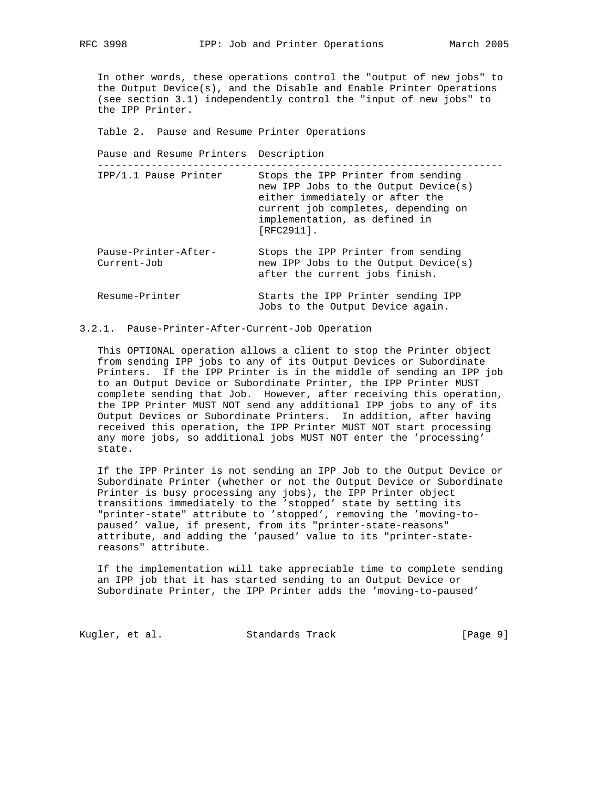In other words, these operations control the "output of new jobs" to the Output Device(s), and the Disable and Enable Printer Operations (see section 3.1) independently control the "input of new jobs" to the IPP Printer.

Table 2. Pause and Resume Printer Operations

Pause and Resume Printers Description

--------------------------------------------------------------------

| IPP/1.1 Pause Printer               | Stops the IPP Printer from sending<br>new IPP Jobs to the Output Device(s)<br>either immediately or after the<br>current job completes, depending on<br>implementation, as defined in<br>[RFC2911]. |
|-------------------------------------|-----------------------------------------------------------------------------------------------------------------------------------------------------------------------------------------------------|
| Pause-Printer-After-<br>Current-Job | Stops the IPP Printer from sending<br>new IPP Jobs to the Output Device(s)<br>after the current jobs finish.                                                                                        |
| Resume-Printer                      | Starts the IPP Printer sending IPP<br>Jobs to the Output Device again.                                                                                                                              |

## 3.2.1. Pause-Printer-After-Current-Job Operation

 This OPTIONAL operation allows a client to stop the Printer object from sending IPP jobs to any of its Output Devices or Subordinate Printers. If the IPP Printer is in the middle of sending an IPP job to an Output Device or Subordinate Printer, the IPP Printer MUST complete sending that Job. However, after receiving this operation, the IPP Printer MUST NOT send any additional IPP jobs to any of its Output Devices or Subordinate Printers. In addition, after having received this operation, the IPP Printer MUST NOT start processing any more jobs, so additional jobs MUST NOT enter the 'processing' state.

 If the IPP Printer is not sending an IPP Job to the Output Device or Subordinate Printer (whether or not the Output Device or Subordinate Printer is busy processing any jobs), the IPP Printer object transitions immediately to the 'stopped' state by setting its "printer-state" attribute to 'stopped', removing the 'moving-to paused' value, if present, from its "printer-state-reasons" attribute, and adding the 'paused' value to its "printer-state reasons" attribute.

 If the implementation will take appreciable time to complete sending an IPP job that it has started sending to an Output Device or Subordinate Printer, the IPP Printer adds the 'moving-to-paused'

Kugler, et al. Standards Track [Page 9]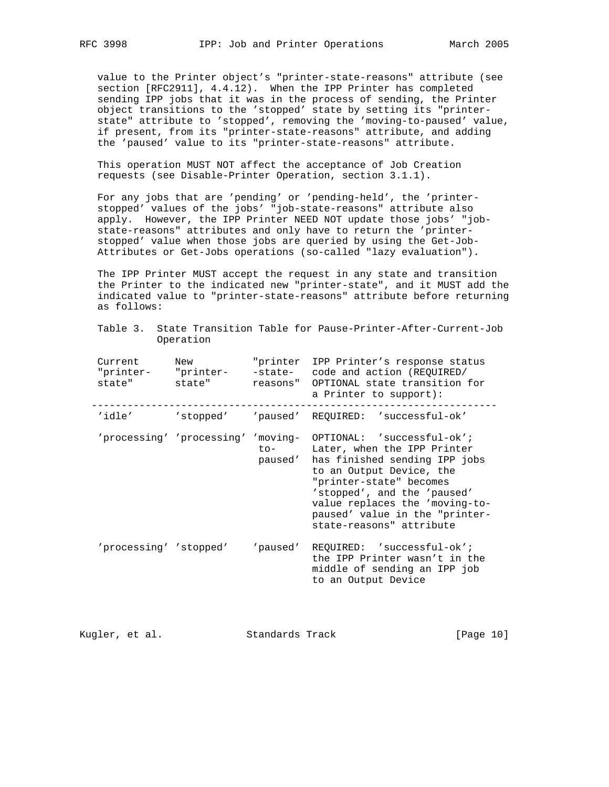value to the Printer object's "printer-state-reasons" attribute (see section [RFC2911], 4.4.12). When the IPP Printer has completed sending IPP jobs that it was in the process of sending, the Printer object transitions to the 'stopped' state by setting its "printer state" attribute to 'stopped', removing the 'moving-to-paused' value, if present, from its "printer-state-reasons" attribute, and adding the 'paused' value to its "printer-state-reasons" attribute.

 This operation MUST NOT affect the acceptance of Job Creation requests (see Disable-Printer Operation, section 3.1.1).

 For any jobs that are 'pending' or 'pending-held', the 'printer stopped' values of the jobs' "job-state-reasons" attribute also apply. However, the IPP Printer NEED NOT update those jobs' "job state-reasons" attributes and only have to return the 'printer stopped' value when those jobs are queried by using the Get-Job- Attributes or Get-Jobs operations (so-called "lazy evaluation").

 The IPP Printer MUST accept the request in any state and transition the Printer to the indicated new "printer-state", and it MUST add the indicated value to "printer-state-reasons" attribute before returning as follows:

|  |           |  | Table 3. State Transition Table for Pause-Printer-After-Current-Job |
|--|-----------|--|---------------------------------------------------------------------|
|  | Operation |  |                                                                     |

| Current<br>state"      | New<br>"printer- "printer-<br>state" |                         | "printer IPP Printer's response status<br>-state- code and action (REQUIRED/<br>reasons" OPTIONAL state transition for<br>a Printer to support):                                                                                                                                                                    |
|------------------------|--------------------------------------|-------------------------|---------------------------------------------------------------------------------------------------------------------------------------------------------------------------------------------------------------------------------------------------------------------------------------------------------------------|
| 'idle'                 |                                      |                         | 'stopped' 'paused' REQUIRED: 'successful-ok'                                                                                                                                                                                                                                                                        |
|                        |                                      | $\text{to}-$<br>paused' | 'processing' 'processing' 'moving- OPTIONAL: 'successful-ok';<br>Later, when the IPP Printer<br>has finished sending IPP jobs<br>to an Output Device, the<br>"printer-state" becomes<br>'stopped', and the 'paused'<br>value replaces the 'moving-to-<br>paused' value in the "printer-<br>state-reasons" attribute |
| 'processing' 'stopped' |                                      | 'paused'                | REQUIRED: 'successful-ok';<br>the IPP Printer wasn't in the<br>middle of sending an IPP job<br>to an Output Device                                                                                                                                                                                                  |

Kugler, et al. Standards Track [Page 10]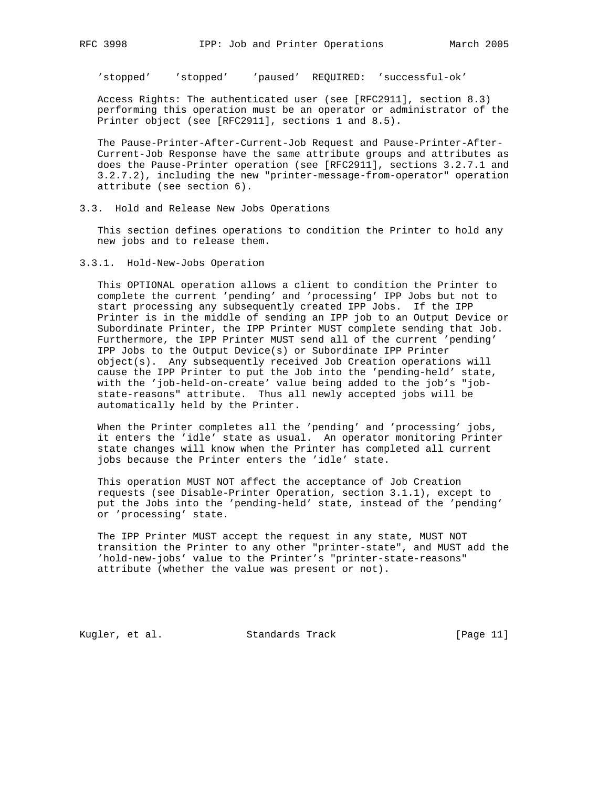'stopped' 'stopped' 'paused' REQUIRED: 'successful-ok'

 Access Rights: The authenticated user (see [RFC2911], section 8.3) performing this operation must be an operator or administrator of the Printer object (see [RFC2911], sections 1 and 8.5).

 The Pause-Printer-After-Current-Job Request and Pause-Printer-After- Current-Job Response have the same attribute groups and attributes as does the Pause-Printer operation (see [RFC2911], sections 3.2.7.1 and 3.2.7.2), including the new "printer-message-from-operator" operation attribute (see section 6).

3.3. Hold and Release New Jobs Operations

 This section defines operations to condition the Printer to hold any new jobs and to release them.

3.3.1. Hold-New-Jobs Operation

 This OPTIONAL operation allows a client to condition the Printer to complete the current 'pending' and 'processing' IPP Jobs but not to start processing any subsequently created IPP Jobs. If the IPP Printer is in the middle of sending an IPP job to an Output Device or Subordinate Printer, the IPP Printer MUST complete sending that Job. Furthermore, the IPP Printer MUST send all of the current 'pending' IPP Jobs to the Output Device(s) or Subordinate IPP Printer object(s). Any subsequently received Job Creation operations will cause the IPP Printer to put the Job into the 'pending-held' state, with the 'job-held-on-create' value being added to the job's "job state-reasons" attribute. Thus all newly accepted jobs will be automatically held by the Printer.

 When the Printer completes all the 'pending' and 'processing' jobs, it enters the 'idle' state as usual. An operator monitoring Printer state changes will know when the Printer has completed all current jobs because the Printer enters the 'idle' state.

 This operation MUST NOT affect the acceptance of Job Creation requests (see Disable-Printer Operation, section 3.1.1), except to put the Jobs into the 'pending-held' state, instead of the 'pending' or 'processing' state.

 The IPP Printer MUST accept the request in any state, MUST NOT transition the Printer to any other "printer-state", and MUST add the 'hold-new-jobs' value to the Printer's "printer-state-reasons" attribute (whether the value was present or not).

Kugler, et al. Standards Track [Page 11]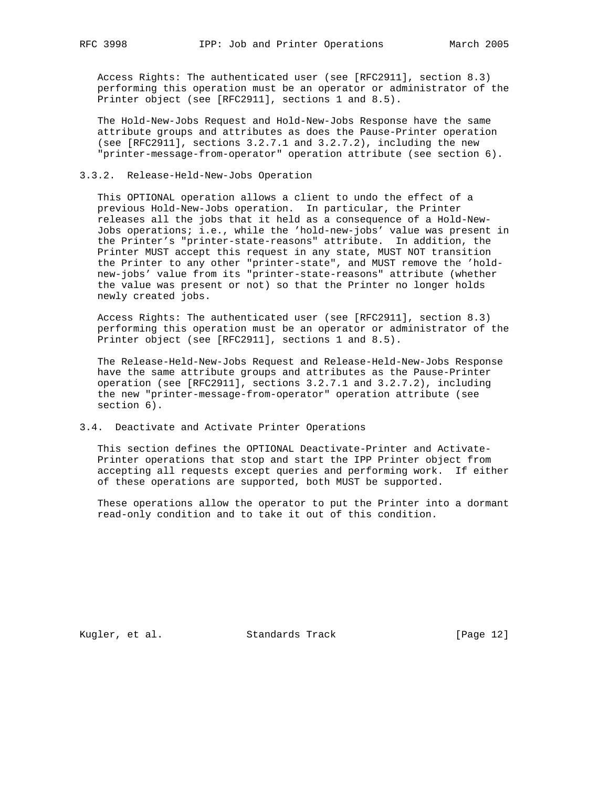Access Rights: The authenticated user (see [RFC2911], section 8.3) performing this operation must be an operator or administrator of the Printer object (see [RFC2911], sections 1 and 8.5).

 The Hold-New-Jobs Request and Hold-New-Jobs Response have the same attribute groups and attributes as does the Pause-Printer operation (see [RFC2911], sections 3.2.7.1 and 3.2.7.2), including the new "printer-message-from-operator" operation attribute (see section 6).

## 3.3.2. Release-Held-New-Jobs Operation

 This OPTIONAL operation allows a client to undo the effect of a previous Hold-New-Jobs operation. In particular, the Printer releases all the jobs that it held as a consequence of a Hold-New- Jobs operations; i.e., while the 'hold-new-jobs' value was present in the Printer's "printer-state-reasons" attribute. In addition, the Printer MUST accept this request in any state, MUST NOT transition the Printer to any other "printer-state", and MUST remove the 'hold new-jobs' value from its "printer-state-reasons" attribute (whether the value was present or not) so that the Printer no longer holds newly created jobs.

 Access Rights: The authenticated user (see [RFC2911], section 8.3) performing this operation must be an operator or administrator of the Printer object (see [RFC2911], sections 1 and 8.5).

 The Release-Held-New-Jobs Request and Release-Held-New-Jobs Response have the same attribute groups and attributes as the Pause-Printer operation (see [RFC2911], sections 3.2.7.1 and 3.2.7.2), including the new "printer-message-from-operator" operation attribute (see section 6).

#### 3.4. Deactivate and Activate Printer Operations

 This section defines the OPTIONAL Deactivate-Printer and Activate- Printer operations that stop and start the IPP Printer object from accepting all requests except queries and performing work. If either of these operations are supported, both MUST be supported.

 These operations allow the operator to put the Printer into a dormant read-only condition and to take it out of this condition.

Kugler, et al. Standards Track [Page 12]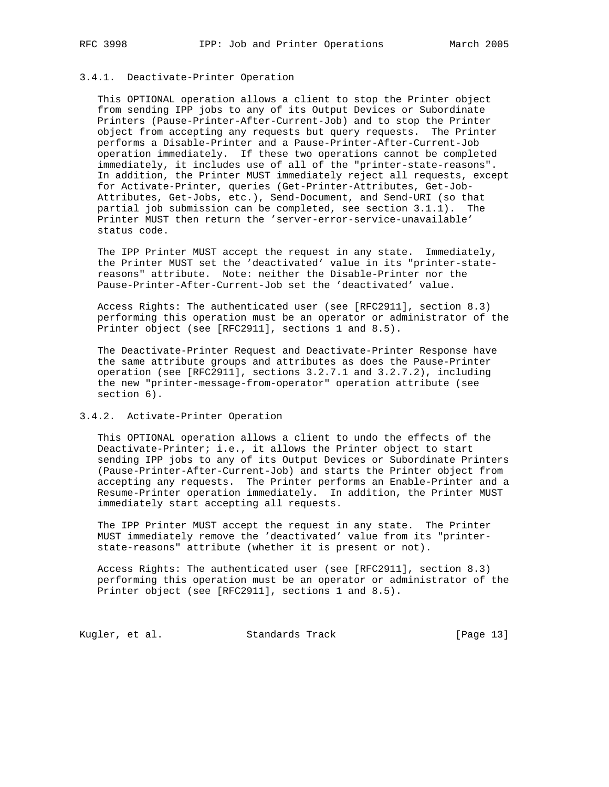#### 3.4.1. Deactivate-Printer Operation

 This OPTIONAL operation allows a client to stop the Printer object from sending IPP jobs to any of its Output Devices or Subordinate Printers (Pause-Printer-After-Current-Job) and to stop the Printer object from accepting any requests but query requests. The Printer performs a Disable-Printer and a Pause-Printer-After-Current-Job operation immediately. If these two operations cannot be completed immediately, it includes use of all of the "printer-state-reasons". In addition, the Printer MUST immediately reject all requests, except for Activate-Printer, queries (Get-Printer-Attributes, Get-Job- Attributes, Get-Jobs, etc.), Send-Document, and Send-URI (so that partial job submission can be completed, see section 3.1.1). The Printer MUST then return the 'server-error-service-unavailable' status code.

 The IPP Printer MUST accept the request in any state. Immediately, the Printer MUST set the 'deactivated' value in its "printer-state reasons" attribute. Note: neither the Disable-Printer nor the Pause-Printer-After-Current-Job set the 'deactivated' value.

 Access Rights: The authenticated user (see [RFC2911], section 8.3) performing this operation must be an operator or administrator of the Printer object (see [RFC2911], sections 1 and 8.5).

 The Deactivate-Printer Request and Deactivate-Printer Response have the same attribute groups and attributes as does the Pause-Printer operation (see [RFC2911], sections 3.2.7.1 and 3.2.7.2), including the new "printer-message-from-operator" operation attribute (see section 6).

#### 3.4.2. Activate-Printer Operation

 This OPTIONAL operation allows a client to undo the effects of the Deactivate-Printer; i.e., it allows the Printer object to start sending IPP jobs to any of its Output Devices or Subordinate Printers (Pause-Printer-After-Current-Job) and starts the Printer object from accepting any requests. The Printer performs an Enable-Printer and a Resume-Printer operation immediately. In addition, the Printer MUST immediately start accepting all requests.

 The IPP Printer MUST accept the request in any state. The Printer MUST immediately remove the 'deactivated' value from its "printer state-reasons" attribute (whether it is present or not).

 Access Rights: The authenticated user (see [RFC2911], section 8.3) performing this operation must be an operator or administrator of the Printer object (see [RFC2911], sections 1 and 8.5).

Kugler, et al. Standards Track [Page 13]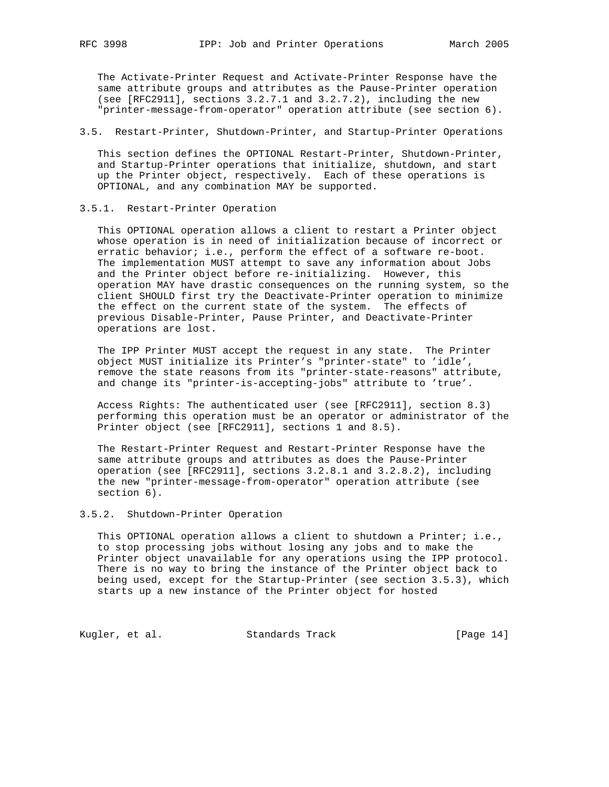The Activate-Printer Request and Activate-Printer Response have the same attribute groups and attributes as the Pause-Printer operation (see [RFC2911], sections 3.2.7.1 and 3.2.7.2), including the new "printer-message-from-operator" operation attribute (see section 6).

#### 3.5. Restart-Printer, Shutdown-Printer, and Startup-Printer Operations

 This section defines the OPTIONAL Restart-Printer, Shutdown-Printer, and Startup-Printer operations that initialize, shutdown, and start up the Printer object, respectively. Each of these operations is OPTIONAL, and any combination MAY be supported.

#### 3.5.1. Restart-Printer Operation

 This OPTIONAL operation allows a client to restart a Printer object whose operation is in need of initialization because of incorrect or erratic behavior; i.e., perform the effect of a software re-boot. The implementation MUST attempt to save any information about Jobs and the Printer object before re-initializing. However, this operation MAY have drastic consequences on the running system, so the client SHOULD first try the Deactivate-Printer operation to minimize the effect on the current state of the system. The effects of previous Disable-Printer, Pause Printer, and Deactivate-Printer operations are lost.

 The IPP Printer MUST accept the request in any state. The Printer object MUST initialize its Printer's "printer-state" to 'idle', remove the state reasons from its "printer-state-reasons" attribute, and change its "printer-is-accepting-jobs" attribute to 'true'.

 Access Rights: The authenticated user (see [RFC2911], section 8.3) performing this operation must be an operator or administrator of the Printer object (see [RFC2911], sections 1 and 8.5).

 The Restart-Printer Request and Restart-Printer Response have the same attribute groups and attributes as does the Pause-Printer operation (see [RFC2911], sections 3.2.8.1 and 3.2.8.2), including the new "printer-message-from-operator" operation attribute (see section 6).

## 3.5.2. Shutdown-Printer Operation

This OPTIONAL operation allows a client to shutdown a Printer; i.e., to stop processing jobs without losing any jobs and to make the Printer object unavailable for any operations using the IPP protocol. There is no way to bring the instance of the Printer object back to being used, except for the Startup-Printer (see section 3.5.3), which starts up a new instance of the Printer object for hosted

Kugler, et al. Standards Track [Page 14]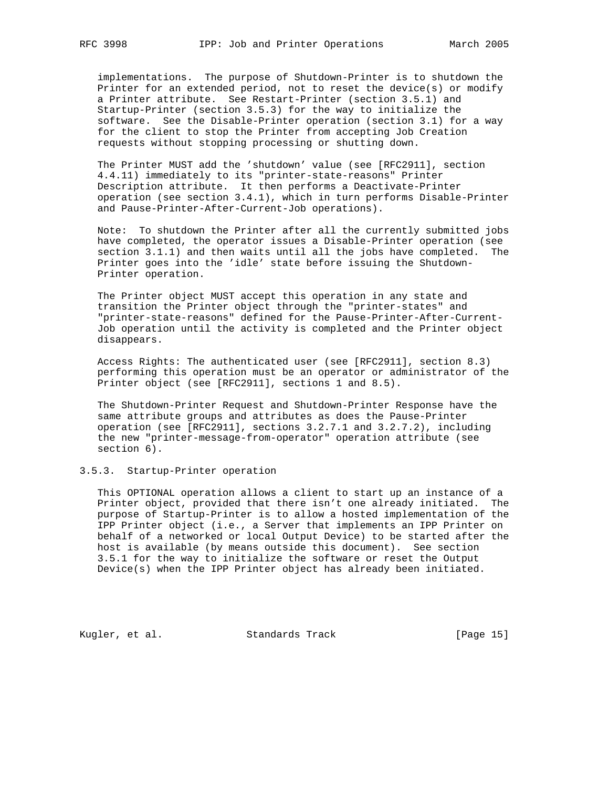implementations. The purpose of Shutdown-Printer is to shutdown the Printer for an extended period, not to reset the device(s) or modify a Printer attribute. See Restart-Printer (section 3.5.1) and Startup-Printer (section 3.5.3) for the way to initialize the software. See the Disable-Printer operation (section 3.1) for a way for the client to stop the Printer from accepting Job Creation requests without stopping processing or shutting down.

 The Printer MUST add the 'shutdown' value (see [RFC2911], section 4.4.11) immediately to its "printer-state-reasons" Printer Description attribute. It then performs a Deactivate-Printer operation (see section 3.4.1), which in turn performs Disable-Printer and Pause-Printer-After-Current-Job operations).

 Note: To shutdown the Printer after all the currently submitted jobs have completed, the operator issues a Disable-Printer operation (see section 3.1.1) and then waits until all the jobs have completed. The Printer goes into the 'idle' state before issuing the Shutdown- Printer operation.

 The Printer object MUST accept this operation in any state and transition the Printer object through the "printer-states" and "printer-state-reasons" defined for the Pause-Printer-After-Current- Job operation until the activity is completed and the Printer object disappears.

 Access Rights: The authenticated user (see [RFC2911], section 8.3) performing this operation must be an operator or administrator of the Printer object (see [RFC2911], sections 1 and 8.5).

 The Shutdown-Printer Request and Shutdown-Printer Response have the same attribute groups and attributes as does the Pause-Printer operation (see [RFC2911], sections 3.2.7.1 and 3.2.7.2), including the new "printer-message-from-operator" operation attribute (see section 6).

#### 3.5.3. Startup-Printer operation

 This OPTIONAL operation allows a client to start up an instance of a Printer object, provided that there isn't one already initiated. The purpose of Startup-Printer is to allow a hosted implementation of the IPP Printer object (i.e., a Server that implements an IPP Printer on behalf of a networked or local Output Device) to be started after the host is available (by means outside this document). See section 3.5.1 for the way to initialize the software or reset the Output Device(s) when the IPP Printer object has already been initiated.

Kugler, et al. Standards Track [Page 15]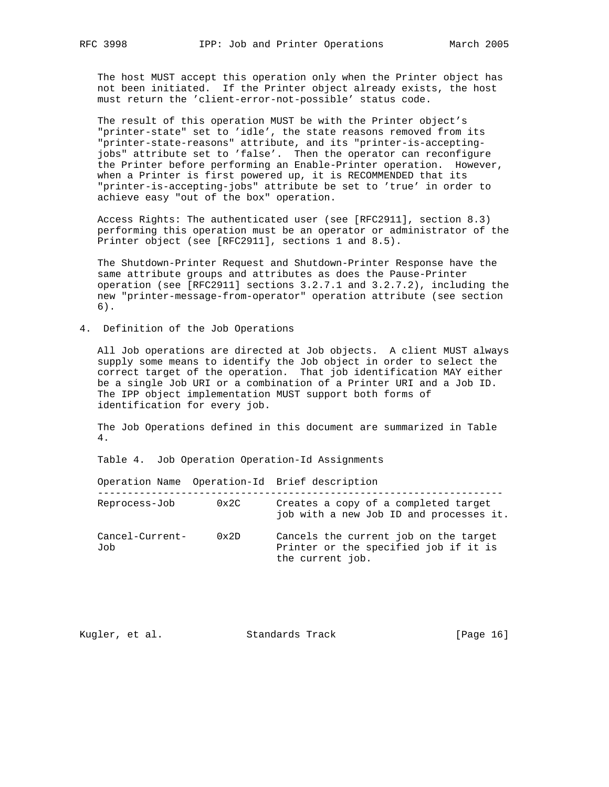The host MUST accept this operation only when the Printer object has not been initiated. If the Printer object already exists, the host must return the 'client-error-not-possible' status code.

 The result of this operation MUST be with the Printer object's "printer-state" set to 'idle', the state reasons removed from its "printer-state-reasons" attribute, and its "printer-is-accepting jobs" attribute set to 'false'. Then the operator can reconfigure the Printer before performing an Enable-Printer operation. However, when a Printer is first powered up, it is RECOMMENDED that its "printer-is-accepting-jobs" attribute be set to 'true' in order to achieve easy "out of the box" operation.

 Access Rights: The authenticated user (see [RFC2911], section 8.3) performing this operation must be an operator or administrator of the Printer object (see [RFC2911], sections 1 and 8.5).

 The Shutdown-Printer Request and Shutdown-Printer Response have the same attribute groups and attributes as does the Pause-Printer operation (see [RFC2911] sections 3.2.7.1 and 3.2.7.2), including the new "printer-message-from-operator" operation attribute (see section 6).

4. Definition of the Job Operations

 All Job operations are directed at Job objects. A client MUST always supply some means to identify the Job object in order to select the correct target of the operation. That job identification MAY either be a single Job URI or a combination of a Printer URI and a Job ID. The IPP object implementation MUST support both forms of identification for every job.

 The Job Operations defined in this document are summarized in Table 4.

Table 4. Job Operation Operation-Id Assignments

 Operation Name Operation-Id Brief description -------------------------------------------------------------------- Reprocess-Job 0x2C Creates a copy of a completed target job with a new Job ID and processes it. Cancel-Current- 0x2D Cancels the current job on the target Job Printer or the specified job if it is the current job.

| [Page 16]<br>Standards Track<br>Kugler, et al. |
|------------------------------------------------|
|------------------------------------------------|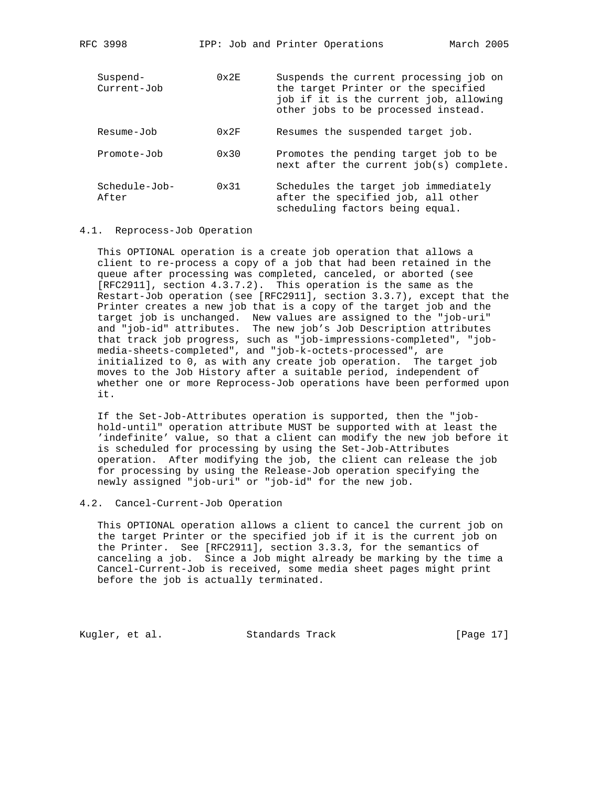| Suspend-<br>Current-Job | $0 \times 2F$ | Suspends the current processing job on<br>the target Printer or the specified<br>job if it is the current job, allowing<br>other jobs to be processed instead. |
|-------------------------|---------------|----------------------------------------------------------------------------------------------------------------------------------------------------------------|
| Resume-Job              | $0 \times 2F$ | Resumes the suspended target job.                                                                                                                              |
| Promote-Job             | $0 \times 30$ | Promotes the pending target job to be<br>next after the current job(s) complete.                                                                               |
| Schedule-Job-<br>After  | $0 \times 31$ | Schedules the target job immediately<br>after the specified job, all other<br>scheduling factors being equal.                                                  |

#### 4.1. Reprocess-Job Operation

 This OPTIONAL operation is a create job operation that allows a client to re-process a copy of a job that had been retained in the queue after processing was completed, canceled, or aborted (see [RFC2911], section 4.3.7.2). This operation is the same as the Restart-Job operation (see [RFC2911], section 3.3.7), except that the Printer creates a new job that is a copy of the target job and the target job is unchanged. New values are assigned to the "job-uri" and "job-id" attributes. The new job's Job Description attributes that track job progress, such as "job-impressions-completed", "job media-sheets-completed", and "job-k-octets-processed", are initialized to 0, as with any create job operation. The target job moves to the Job History after a suitable period, independent of whether one or more Reprocess-Job operations have been performed upon it.

 If the Set-Job-Attributes operation is supported, then the "job hold-until" operation attribute MUST be supported with at least the 'indefinite' value, so that a client can modify the new job before it is scheduled for processing by using the Set-Job-Attributes operation. After modifying the job, the client can release the job for processing by using the Release-Job operation specifying the newly assigned "job-uri" or "job-id" for the new job.

## 4.2. Cancel-Current-Job Operation

 This OPTIONAL operation allows a client to cancel the current job on the target Printer or the specified job if it is the current job on the Printer. See [RFC2911], section 3.3.3, for the semantics of canceling a job. Since a Job might already be marking by the time a Cancel-Current-Job is received, some media sheet pages might print before the job is actually terminated.

Kugler, et al. Standards Track [Page 17]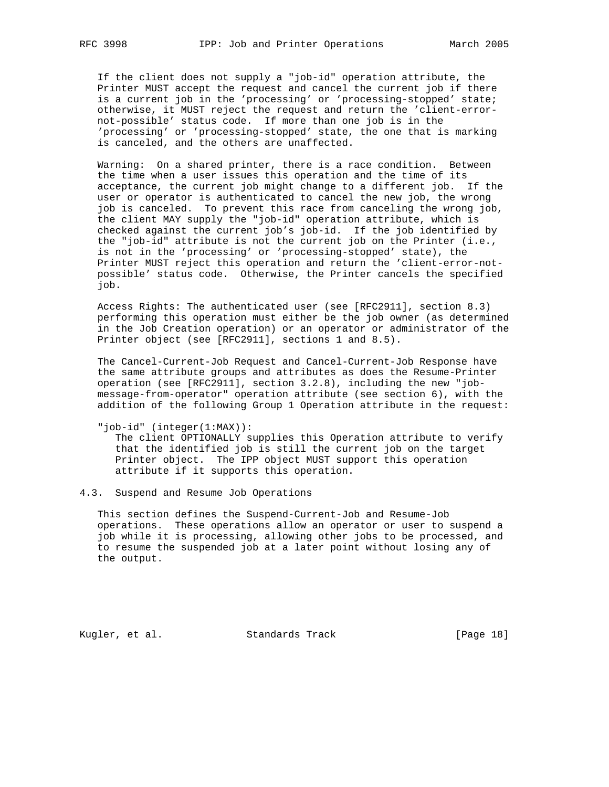If the client does not supply a "job-id" operation attribute, the Printer MUST accept the request and cancel the current job if there is a current job in the 'processing' or 'processing-stopped' state; otherwise, it MUST reject the request and return the 'client-error not-possible' status code. If more than one job is in the 'processing' or 'processing-stopped' state, the one that is marking is canceled, and the others are unaffected.

 Warning: On a shared printer, there is a race condition. Between the time when a user issues this operation and the time of its acceptance, the current job might change to a different job. If the user or operator is authenticated to cancel the new job, the wrong job is canceled. To prevent this race from canceling the wrong job, the client MAY supply the "job-id" operation attribute, which is checked against the current job's job-id. If the job identified by the "job-id" attribute is not the current job on the Printer (i.e., is not in the 'processing' or 'processing-stopped' state), the Printer MUST reject this operation and return the 'client-error-not possible' status code. Otherwise, the Printer cancels the specified job.

 Access Rights: The authenticated user (see [RFC2911], section 8.3) performing this operation must either be the job owner (as determined in the Job Creation operation) or an operator or administrator of the Printer object (see [RFC2911], sections 1 and 8.5).

 The Cancel-Current-Job Request and Cancel-Current-Job Response have the same attribute groups and attributes as does the Resume-Printer operation (see [RFC2911], section 3.2.8), including the new "job message-from-operator" operation attribute (see section 6), with the addition of the following Group 1 Operation attribute in the request:

"job-id" (integer(1:MAX)):

 The client OPTIONALLY supplies this Operation attribute to verify that the identified job is still the current job on the target Printer object. The IPP object MUST support this operation attribute if it supports this operation.

4.3. Suspend and Resume Job Operations

 This section defines the Suspend-Current-Job and Resume-Job operations. These operations allow an operator or user to suspend a job while it is processing, allowing other jobs to be processed, and to resume the suspended job at a later point without losing any of the output.

Kugler, et al. Standards Track [Page 18]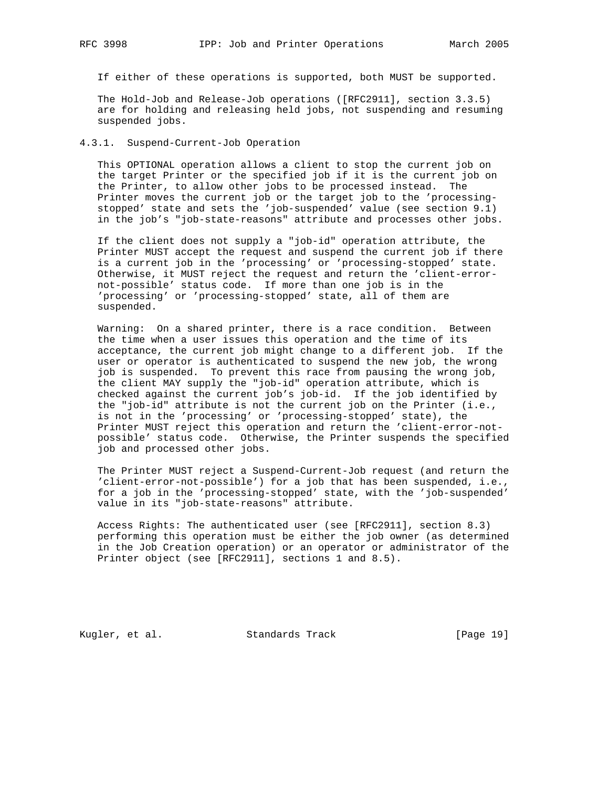If either of these operations is supported, both MUST be supported.

 The Hold-Job and Release-Job operations ([RFC2911], section 3.3.5) are for holding and releasing held jobs, not suspending and resuming suspended jobs.

#### 4.3.1. Suspend-Current-Job Operation

 This OPTIONAL operation allows a client to stop the current job on the target Printer or the specified job if it is the current job on the Printer, to allow other jobs to be processed instead. The Printer moves the current job or the target job to the 'processing stopped' state and sets the 'job-suspended' value (see section 9.1) in the job's "job-state-reasons" attribute and processes other jobs.

 If the client does not supply a "job-id" operation attribute, the Printer MUST accept the request and suspend the current job if there is a current job in the 'processing' or 'processing-stopped' state. Otherwise, it MUST reject the request and return the 'client-error not-possible' status code. If more than one job is in the 'processing' or 'processing-stopped' state, all of them are suspended.

 Warning: On a shared printer, there is a race condition. Between the time when a user issues this operation and the time of its acceptance, the current job might change to a different job. If the user or operator is authenticated to suspend the new job, the wrong job is suspended. To prevent this race from pausing the wrong job, the client MAY supply the "job-id" operation attribute, which is checked against the current job's job-id. If the job identified by the "job-id" attribute is not the current job on the Printer (i.e., is not in the 'processing' or 'processing-stopped' state), the Printer MUST reject this operation and return the 'client-error-not possible' status code. Otherwise, the Printer suspends the specified job and processed other jobs.

 The Printer MUST reject a Suspend-Current-Job request (and return the 'client-error-not-possible') for a job that has been suspended, i.e., for a job in the 'processing-stopped' state, with the 'job-suspended' value in its "job-state-reasons" attribute.

 Access Rights: The authenticated user (see [RFC2911], section 8.3) performing this operation must be either the job owner (as determined in the Job Creation operation) or an operator or administrator of the Printer object (see [RFC2911], sections 1 and 8.5).

Kugler, et al. Standards Track [Page 19]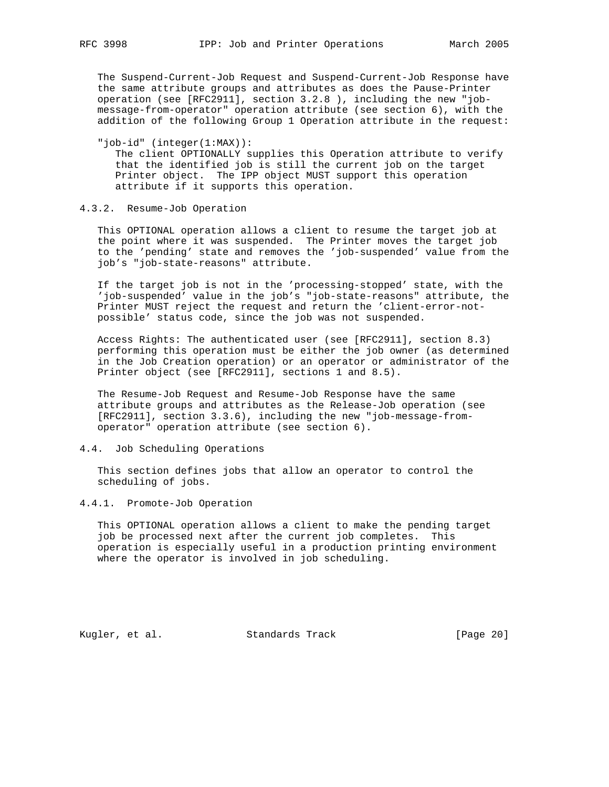The Suspend-Current-Job Request and Suspend-Current-Job Response have the same attribute groups and attributes as does the Pause-Printer operation (see [RFC2911], section 3.2.8 ), including the new "job message-from-operator" operation attribute (see section 6), with the addition of the following Group 1 Operation attribute in the request:

 "job-id" (integer(1:MAX)): The client OPTIONALLY supplies this Operation attribute to verify that the identified job is still the current job on the target Printer object. The IPP object MUST support this operation attribute if it supports this operation.

#### 4.3.2. Resume-Job Operation

 This OPTIONAL operation allows a client to resume the target job at the point where it was suspended. The Printer moves the target job to the 'pending' state and removes the 'job-suspended' value from the job's "job-state-reasons" attribute.

 If the target job is not in the 'processing-stopped' state, with the 'job-suspended' value in the job's "job-state-reasons" attribute, the Printer MUST reject the request and return the 'client-error-not possible' status code, since the job was not suspended.

 Access Rights: The authenticated user (see [RFC2911], section 8.3) performing this operation must be either the job owner (as determined in the Job Creation operation) or an operator or administrator of the Printer object (see [RFC2911], sections 1 and 8.5).

 The Resume-Job Request and Resume-Job Response have the same attribute groups and attributes as the Release-Job operation (see [RFC2911], section 3.3.6), including the new "job-message-from operator" operation attribute (see section 6).

## 4.4. Job Scheduling Operations

 This section defines jobs that allow an operator to control the scheduling of jobs.

#### 4.4.1. Promote-Job Operation

 This OPTIONAL operation allows a client to make the pending target job be processed next after the current job completes. This operation is especially useful in a production printing environment where the operator is involved in job scheduling.

Kugler, et al. Standards Track [Page 20]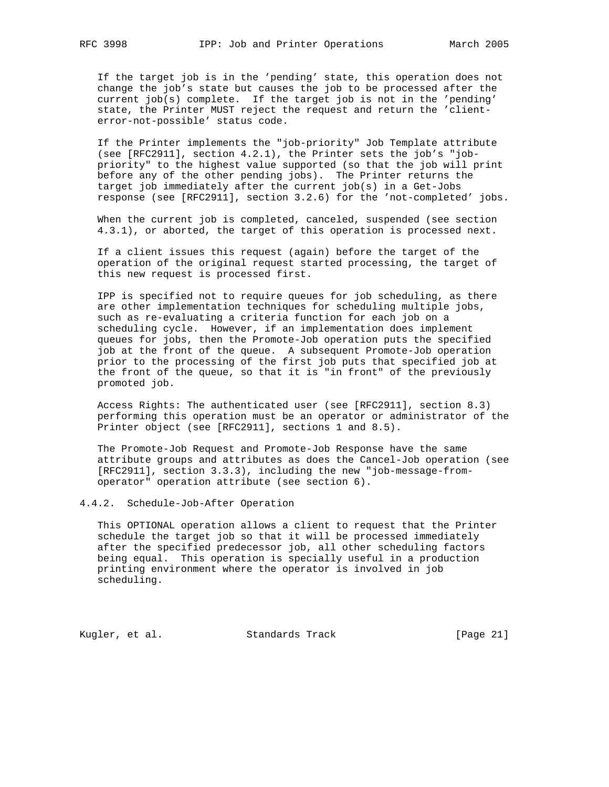If the target job is in the 'pending' state, this operation does not change the job's state but causes the job to be processed after the current job(s) complete. If the target job is not in the 'pending' state, the Printer MUST reject the request and return the 'client error-not-possible' status code.

 If the Printer implements the "job-priority" Job Template attribute (see [RFC2911], section 4.2.1), the Printer sets the job's "job priority" to the highest value supported (so that the job will print before any of the other pending jobs). The Printer returns the target job immediately after the current job(s) in a Get-Jobs response (see [RFC2911], section 3.2.6) for the 'not-completed' jobs.

 When the current job is completed, canceled, suspended (see section 4.3.1), or aborted, the target of this operation is processed next.

 If a client issues this request (again) before the target of the operation of the original request started processing, the target of this new request is processed first.

 IPP is specified not to require queues for job scheduling, as there are other implementation techniques for scheduling multiple jobs, such as re-evaluating a criteria function for each job on a scheduling cycle. However, if an implementation does implement queues for jobs, then the Promote-Job operation puts the specified job at the front of the queue. A subsequent Promote-Job operation prior to the processing of the first job puts that specified job at the front of the queue, so that it is "in front" of the previously promoted job.

 Access Rights: The authenticated user (see [RFC2911], section 8.3) performing this operation must be an operator or administrator of the Printer object (see [RFC2911], sections 1 and 8.5).

 The Promote-Job Request and Promote-Job Response have the same attribute groups and attributes as does the Cancel-Job operation (see [RFC2911], section 3.3.3), including the new "job-message-from operator" operation attribute (see section 6).

#### 4.4.2. Schedule-Job-After Operation

 This OPTIONAL operation allows a client to request that the Printer schedule the target job so that it will be processed immediately after the specified predecessor job, all other scheduling factors being equal. This operation is specially useful in a production printing environment where the operator is involved in job scheduling.

Kugler, et al. Standards Track [Page 21]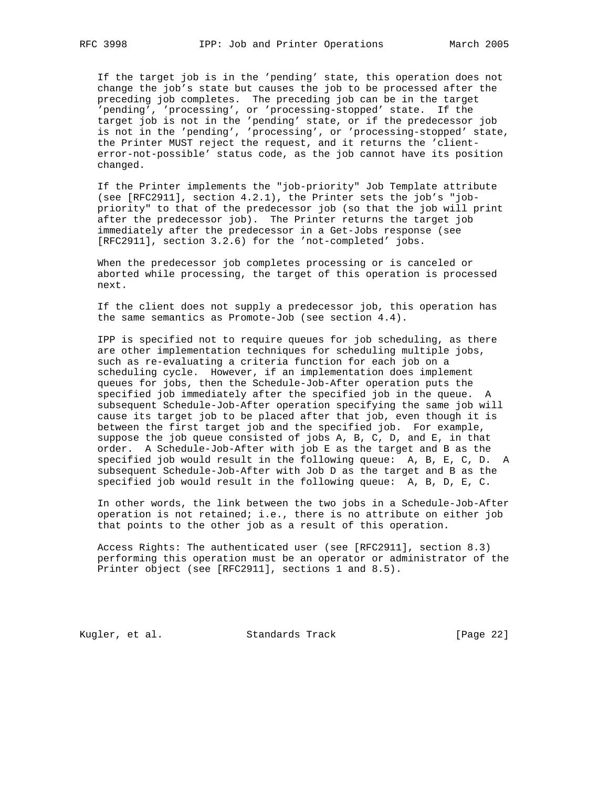If the target job is in the 'pending' state, this operation does not change the job's state but causes the job to be processed after the preceding job completes. The preceding job can be in the target 'pending', 'processing', or 'processing-stopped' state. If the target job is not in the 'pending' state, or if the predecessor job is not in the 'pending', 'processing', or 'processing-stopped' state, the Printer MUST reject the request, and it returns the 'client error-not-possible' status code, as the job cannot have its position changed.

 If the Printer implements the "job-priority" Job Template attribute (see [RFC2911], section 4.2.1), the Printer sets the job's "job priority" to that of the predecessor job (so that the job will print after the predecessor job). The Printer returns the target job immediately after the predecessor in a Get-Jobs response (see [RFC2911], section 3.2.6) for the 'not-completed' jobs.

 When the predecessor job completes processing or is canceled or aborted while processing, the target of this operation is processed next.

 If the client does not supply a predecessor job, this operation has the same semantics as Promote-Job (see section 4.4).

 IPP is specified not to require queues for job scheduling, as there are other implementation techniques for scheduling multiple jobs, such as re-evaluating a criteria function for each job on a scheduling cycle. However, if an implementation does implement queues for jobs, then the Schedule-Job-After operation puts the specified job immediately after the specified job in the queue. A subsequent Schedule-Job-After operation specifying the same job will cause its target job to be placed after that job, even though it is between the first target job and the specified job. For example, suppose the job queue consisted of jobs A, B, C, D, and E, in that order. A Schedule-Job-After with job E as the target and B as the specified job would result in the following queue: A, B, E, C, D. A subsequent Schedule-Job-After with Job D as the target and B as the specified job would result in the following queue: A, B, D, E, C.

 In other words, the link between the two jobs in a Schedule-Job-After operation is not retained; i.e., there is no attribute on either job that points to the other job as a result of this operation.

 Access Rights: The authenticated user (see [RFC2911], section 8.3) performing this operation must be an operator or administrator of the Printer object (see [RFC2911], sections 1 and 8.5).

Kugler, et al. Standards Track [Page 22]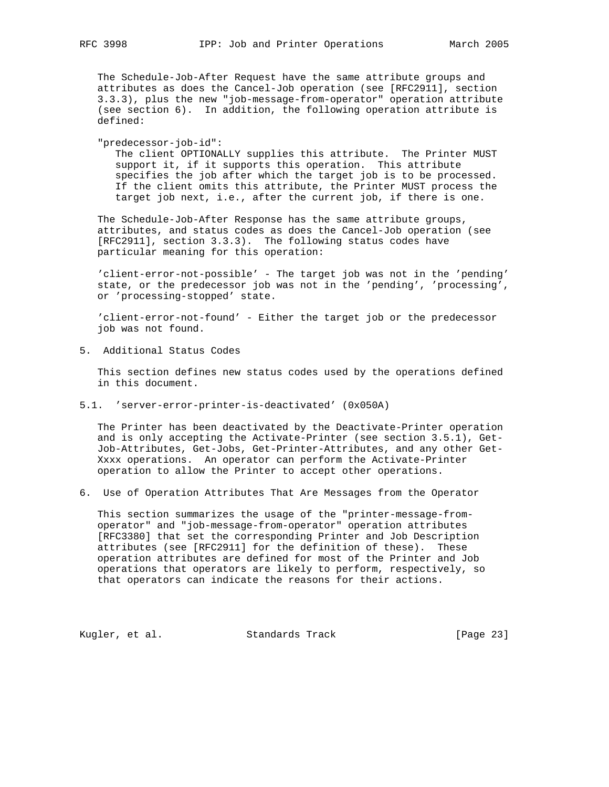The Schedule-Job-After Request have the same attribute groups and attributes as does the Cancel-Job operation (see [RFC2911], section 3.3.3), plus the new "job-message-from-operator" operation attribute (see section 6). In addition, the following operation attribute is defined:

 "predecessor-job-id": The client OPTIONALLY supplies this attribute. The Printer MUST support it, if it supports this operation. This attribute specifies the job after which the target job is to be processed. If the client omits this attribute, the Printer MUST process the target job next, i.e., after the current job, if there is one.

 The Schedule-Job-After Response has the same attribute groups, attributes, and status codes as does the Cancel-Job operation (see [RFC2911], section 3.3.3). The following status codes have particular meaning for this operation:

 'client-error-not-possible' - The target job was not in the 'pending' state, or the predecessor job was not in the 'pending', 'processing', or 'processing-stopped' state.

 'client-error-not-found' - Either the target job or the predecessor job was not found.

5. Additional Status Codes

 This section defines new status codes used by the operations defined in this document.

5.1. 'server-error-printer-is-deactivated' (0x050A)

 The Printer has been deactivated by the Deactivate-Printer operation and is only accepting the Activate-Printer (see section 3.5.1), Get- Job-Attributes, Get-Jobs, Get-Printer-Attributes, and any other Get- Xxxx operations. An operator can perform the Activate-Printer operation to allow the Printer to accept other operations.

6. Use of Operation Attributes That Are Messages from the Operator

 This section summarizes the usage of the "printer-message-from operator" and "job-message-from-operator" operation attributes [RFC3380] that set the corresponding Printer and Job Description attributes (see [RFC2911] for the definition of these). These operation attributes are defined for most of the Printer and Job operations that operators are likely to perform, respectively, so that operators can indicate the reasons for their actions.

Kugler, et al. Standards Track [Page 23]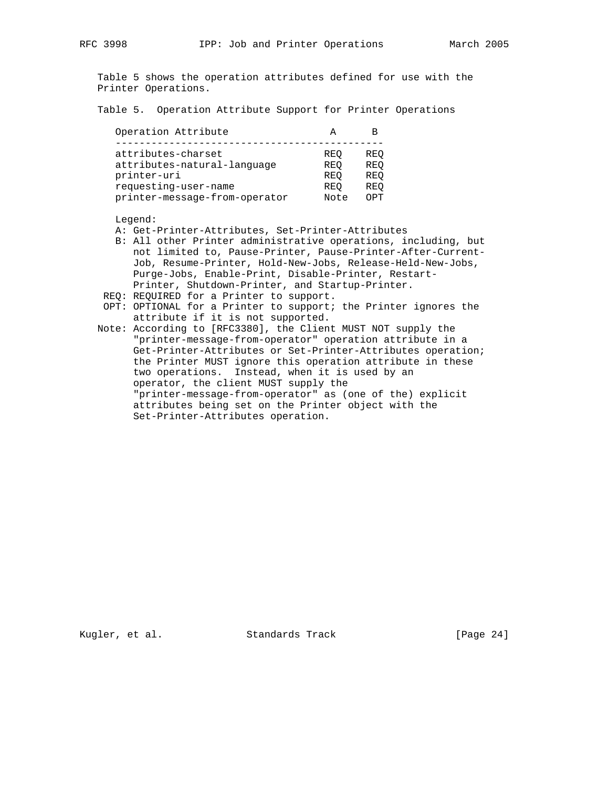Table 5 shows the operation attributes defined for use with the Printer Operations.

Table 5. Operation Attribute Support for Printer Operations

| Operation Attribute           |            |     |
|-------------------------------|------------|-----|
| attributes-charset            | REO        | REO |
| attributes-natural-language   | REO        | REO |
| printer-uri                   | REO        | REO |
| requesting-user-name          | <b>REO</b> | REO |
| printer-message-from-operator | Note       | OPT |

Legend:

A: Get-Printer-Attributes, Set-Printer-Attributes

- B: All other Printer administrative operations, including, but not limited to, Pause-Printer, Pause-Printer-After-Current- Job, Resume-Printer, Hold-New-Jobs, Release-Held-New-Jobs, Purge-Jobs, Enable-Print, Disable-Printer, Restart- Printer, Shutdown-Printer, and Startup-Printer.
- REQ: REQUIRED for a Printer to support.
- OPT: OPTIONAL for a Printer to support; the Printer ignores the attribute if it is not supported.
- Note: According to [RFC3380], the Client MUST NOT supply the "printer-message-from-operator" operation attribute in a Get-Printer-Attributes or Set-Printer-Attributes operation; the Printer MUST ignore this operation attribute in these two operations. Instead, when it is used by an operator, the client MUST supply the "printer-message-from-operator" as (one of the) explicit attributes being set on the Printer object with the Set-Printer-Attributes operation.

Kugler, et al. Standards Track [Page 24]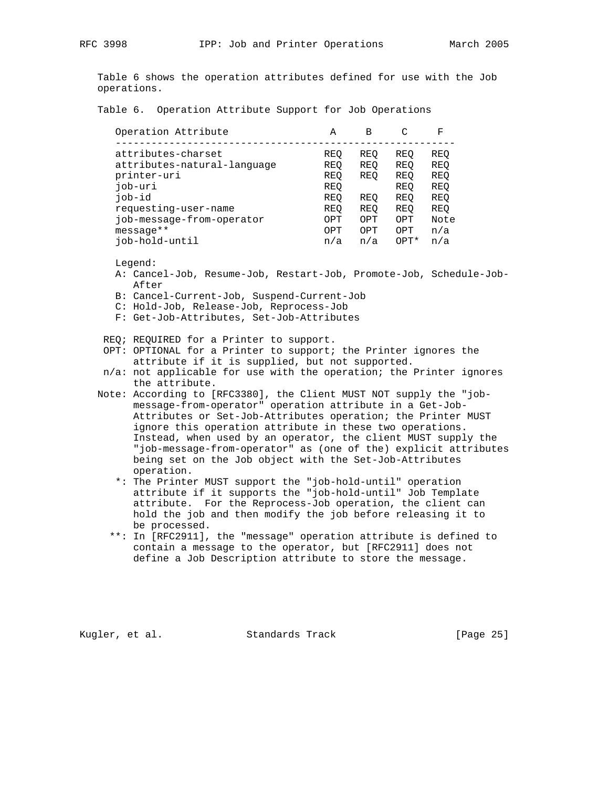Table 6 shows the operation attributes defined for use with the Job operations.

Table 6. Operation Attribute Support for Job Operations

| Operation Attribute         | А   | В   |                  | F    |
|-----------------------------|-----|-----|------------------|------|
|                             |     |     |                  |      |
| attributes-charset          | REO | REO | REO              | REO  |
| attributes-natural-language | REO | REO | REO              | REO  |
| printer-uri                 | REO | REO | REO              | REO  |
| job-uri                     | REO |     | REO              | REO  |
| job-id                      | REO | REO | REO              | REO  |
| requesting-user-name        | REO | REO | REO              | REO  |
| job-message-from-operator   | OPT | OPT | OPT              | Note |
| $messaqe**$                 | OPT | OPT | OPT              | n/a  |
| iob-hold-until              | n/a | n/a | OPT <sup>*</sup> | n/a  |

Legend:

- A: Cancel-Job, Resume-Job, Restart-Job, Promote-Job, Schedule-Job- After
- B: Cancel-Current-Job, Suspend-Current-Job
- C: Hold-Job, Release-Job, Reprocess-Job
- F: Get-Job-Attributes, Set-Job-Attributes

REQ; REQUIRED for a Printer to support.

- OPT: OPTIONAL for a Printer to support; the Printer ignores the attribute if it is supplied, but not supported.
- n/a: not applicable for use with the operation; the Printer ignores the attribute.
- Note: According to [RFC3380], the Client MUST NOT supply the "job message-from-operator" operation attribute in a Get-Job- Attributes or Set-Job-Attributes operation; the Printer MUST ignore this operation attribute in these two operations. Instead, when used by an operator, the client MUST supply the "job-message-from-operator" as (one of the) explicit attributes being set on the Job object with the Set-Job-Attributes operation.
	- \*: The Printer MUST support the "job-hold-until" operation attribute if it supports the "job-hold-until" Job Template attribute. For the Reprocess-Job operation, the client can hold the job and then modify the job before releasing it to be processed.
	- \*\*: In [RFC2911], the "message" operation attribute is defined to contain a message to the operator, but [RFC2911] does not define a Job Description attribute to store the message.

Kugler, et al. Standards Track [Page 25]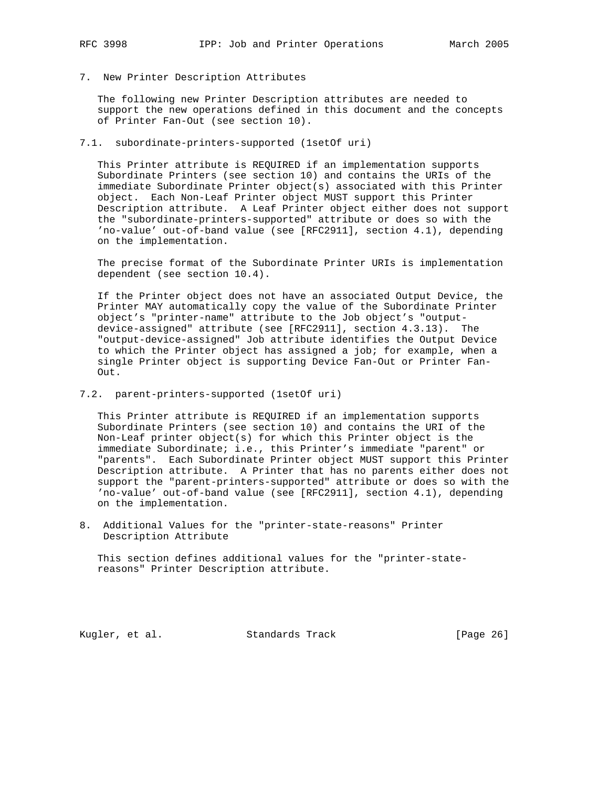- 
- 7. New Printer Description Attributes

 The following new Printer Description attributes are needed to support the new operations defined in this document and the concepts of Printer Fan-Out (see section 10).

7.1. subordinate-printers-supported (1setOf uri)

 This Printer attribute is REQUIRED if an implementation supports Subordinate Printers (see section 10) and contains the URIs of the immediate Subordinate Printer object(s) associated with this Printer object. Each Non-Leaf Printer object MUST support this Printer Description attribute. A Leaf Printer object either does not support the "subordinate-printers-supported" attribute or does so with the 'no-value' out-of-band value (see [RFC2911], section 4.1), depending on the implementation.

 The precise format of the Subordinate Printer URIs is implementation dependent (see section 10.4).

 If the Printer object does not have an associated Output Device, the Printer MAY automatically copy the value of the Subordinate Printer object's "printer-name" attribute to the Job object's "output device-assigned" attribute (see [RFC2911], section 4.3.13). The "output-device-assigned" Job attribute identifies the Output Device to which the Printer object has assigned a job; for example, when a single Printer object is supporting Device Fan-Out or Printer Fan- Out.

7.2. parent-printers-supported (1setOf uri)

 This Printer attribute is REQUIRED if an implementation supports Subordinate Printers (see section 10) and contains the URI of the Non-Leaf printer object(s) for which this Printer object is the immediate Subordinate; i.e., this Printer's immediate "parent" or "parents". Each Subordinate Printer object MUST support this Printer Description attribute. A Printer that has no parents either does not support the "parent-printers-supported" attribute or does so with the 'no-value' out-of-band value (see [RFC2911], section 4.1), depending on the implementation.

8. Additional Values for the "printer-state-reasons" Printer Description Attribute

 This section defines additional values for the "printer-state reasons" Printer Description attribute.

Kugler, et al. Standards Track [Page 26]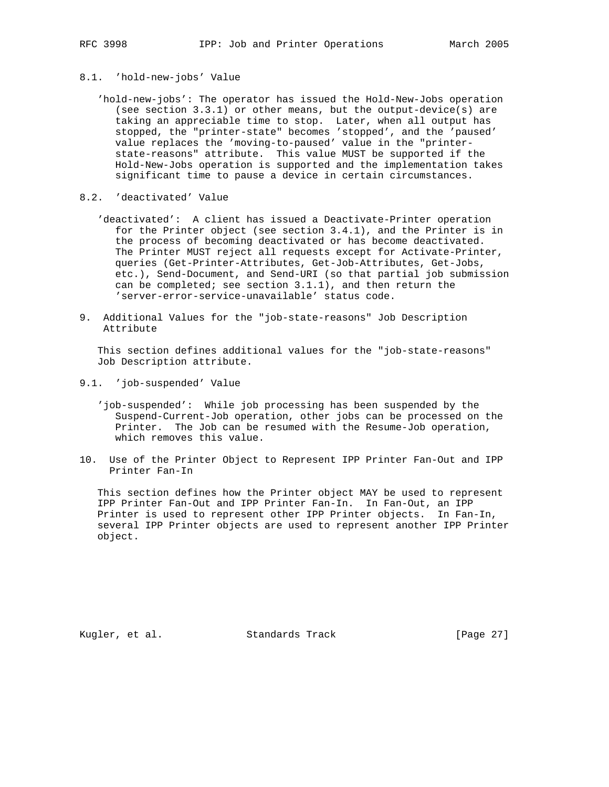# 8.1. 'hold-new-jobs' Value

- 'hold-new-jobs': The operator has issued the Hold-New-Jobs operation (see section 3.3.1) or other means, but the output-device(s) are taking an appreciable time to stop. Later, when all output has stopped, the "printer-state" becomes 'stopped', and the 'paused' value replaces the 'moving-to-paused' value in the "printer state-reasons" attribute. This value MUST be supported if the Hold-New-Jobs operation is supported and the implementation takes significant time to pause a device in certain circumstances.
- 8.2. 'deactivated' Value
	- 'deactivated': A client has issued a Deactivate-Printer operation for the Printer object (see section 3.4.1), and the Printer is in the process of becoming deactivated or has become deactivated. The Printer MUST reject all requests except for Activate-Printer, queries (Get-Printer-Attributes, Get-Job-Attributes, Get-Jobs, etc.), Send-Document, and Send-URI (so that partial job submission can be completed; see section 3.1.1), and then return the 'server-error-service-unavailable' status code.
- 9. Additional Values for the "job-state-reasons" Job Description Attribute

 This section defines additional values for the "job-state-reasons" Job Description attribute.

- 9.1. 'job-suspended' Value
	- 'job-suspended': While job processing has been suspended by the Suspend-Current-Job operation, other jobs can be processed on the Printer. The Job can be resumed with the Resume-Job operation, which removes this value.
- 10. Use of the Printer Object to Represent IPP Printer Fan-Out and IPP Printer Fan-In

 This section defines how the Printer object MAY be used to represent IPP Printer Fan-Out and IPP Printer Fan-In. In Fan-Out, an IPP Printer is used to represent other IPP Printer objects. In Fan-In, several IPP Printer objects are used to represent another IPP Printer object.

Kugler, et al. Standards Track [Page 27]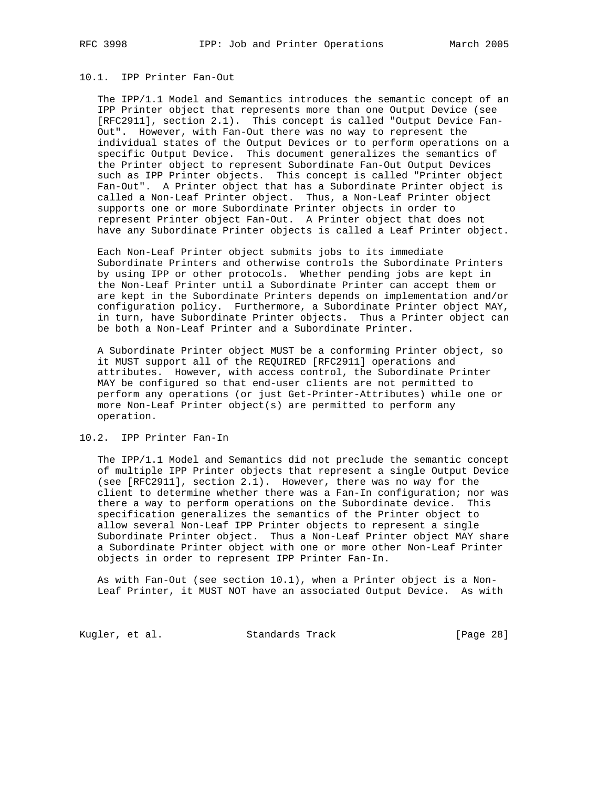## 10.1. IPP Printer Fan-Out

 The IPP/1.1 Model and Semantics introduces the semantic concept of an IPP Printer object that represents more than one Output Device (see [RFC2911], section 2.1). This concept is called "Output Device Fan- Out". However, with Fan-Out there was no way to represent the individual states of the Output Devices or to perform operations on a specific Output Device. This document generalizes the semantics of the Printer object to represent Subordinate Fan-Out Output Devices such as IPP Printer objects. This concept is called "Printer object Fan-Out". A Printer object that has a Subordinate Printer object is called a Non-Leaf Printer object. Thus, a Non-Leaf Printer object supports one or more Subordinate Printer objects in order to represent Printer object Fan-Out. A Printer object that does not have any Subordinate Printer objects is called a Leaf Printer object.

 Each Non-Leaf Printer object submits jobs to its immediate Subordinate Printers and otherwise controls the Subordinate Printers by using IPP or other protocols. Whether pending jobs are kept in the Non-Leaf Printer until a Subordinate Printer can accept them or are kept in the Subordinate Printers depends on implementation and/or configuration policy. Furthermore, a Subordinate Printer object MAY, in turn, have Subordinate Printer objects. Thus a Printer object can be both a Non-Leaf Printer and a Subordinate Printer.

 A Subordinate Printer object MUST be a conforming Printer object, so it MUST support all of the REQUIRED [RFC2911] operations and attributes. However, with access control, the Subordinate Printer MAY be configured so that end-user clients are not permitted to perform any operations (or just Get-Printer-Attributes) while one or more Non-Leaf Printer object(s) are permitted to perform any operation.

10.2. IPP Printer Fan-In

 The IPP/1.1 Model and Semantics did not preclude the semantic concept of multiple IPP Printer objects that represent a single Output Device (see [RFC2911], section 2.1). However, there was no way for the client to determine whether there was a Fan-In configuration; nor was there a way to perform operations on the Subordinate device. This specification generalizes the semantics of the Printer object to allow several Non-Leaf IPP Printer objects to represent a single Subordinate Printer object. Thus a Non-Leaf Printer object MAY share a Subordinate Printer object with one or more other Non-Leaf Printer objects in order to represent IPP Printer Fan-In.

 As with Fan-Out (see section 10.1), when a Printer object is a Non- Leaf Printer, it MUST NOT have an associated Output Device. As with

Kugler, et al. Standards Track [Page 28]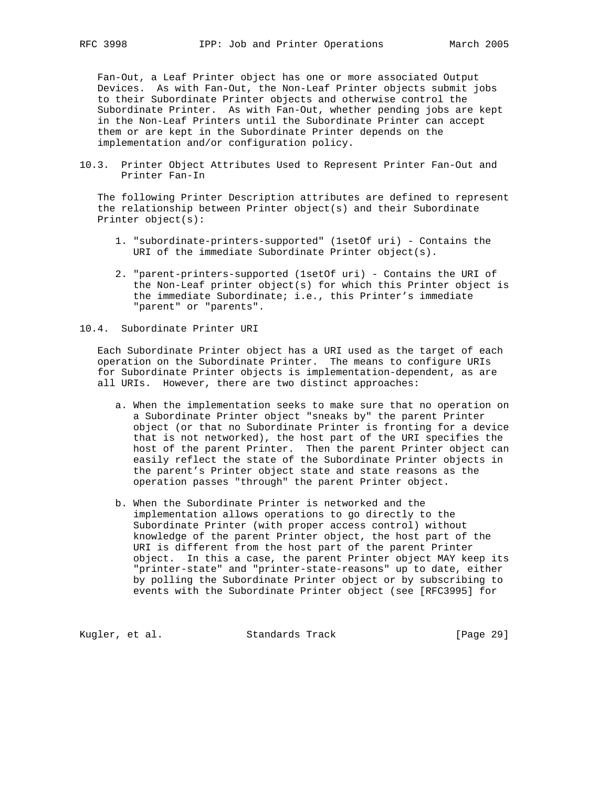Fan-Out, a Leaf Printer object has one or more associated Output Devices. As with Fan-Out, the Non-Leaf Printer objects submit jobs to their Subordinate Printer objects and otherwise control the Subordinate Printer. As with Fan-Out, whether pending jobs are kept in the Non-Leaf Printers until the Subordinate Printer can accept them or are kept in the Subordinate Printer depends on the implementation and/or configuration policy.

10.3. Printer Object Attributes Used to Represent Printer Fan-Out and Printer Fan-In

 The following Printer Description attributes are defined to represent the relationship between Printer object(s) and their Subordinate Printer object(s):

- 1. "subordinate-printers-supported" (1setOf uri) Contains the URI of the immediate Subordinate Printer object(s).
- 2. "parent-printers-supported (1setOf uri) Contains the URI of the Non-Leaf printer object(s) for which this Printer object is the immediate Subordinate; i.e., this Printer's immediate "parent" or "parents".

#### 10.4. Subordinate Printer URI

 Each Subordinate Printer object has a URI used as the target of each operation on the Subordinate Printer. The means to configure URIs for Subordinate Printer objects is implementation-dependent, as are all URIs. However, there are two distinct approaches:

- a. When the implementation seeks to make sure that no operation on a Subordinate Printer object "sneaks by" the parent Printer object (or that no Subordinate Printer is fronting for a device that is not networked), the host part of the URI specifies the host of the parent Printer. Then the parent Printer object can easily reflect the state of the Subordinate Printer objects in the parent's Printer object state and state reasons as the operation passes "through" the parent Printer object.
- b. When the Subordinate Printer is networked and the implementation allows operations to go directly to the Subordinate Printer (with proper access control) without knowledge of the parent Printer object, the host part of the URI is different from the host part of the parent Printer object. In this a case, the parent Printer object MAY keep its "printer-state" and "printer-state-reasons" up to date, either by polling the Subordinate Printer object or by subscribing to events with the Subordinate Printer object (see [RFC3995] for

Kugler, et al. Standards Track [Page 29]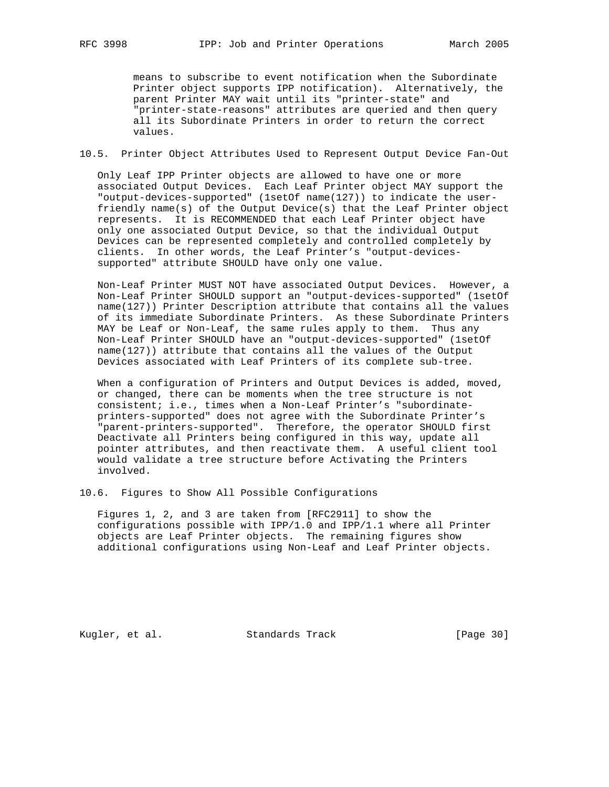means to subscribe to event notification when the Subordinate Printer object supports IPP notification). Alternatively, the parent Printer MAY wait until its "printer-state" and "printer-state-reasons" attributes are queried and then query all its Subordinate Printers in order to return the correct values.

10.5. Printer Object Attributes Used to Represent Output Device Fan-Out

 Only Leaf IPP Printer objects are allowed to have one or more associated Output Devices. Each Leaf Printer object MAY support the "output-devices-supported" (1setOf name(127)) to indicate the user friendly name(s) of the Output Device(s) that the Leaf Printer object represents. It is RECOMMENDED that each Leaf Printer object have only one associated Output Device, so that the individual Output Devices can be represented completely and controlled completely by clients. In other words, the Leaf Printer's "output-devices supported" attribute SHOULD have only one value.

 Non-Leaf Printer MUST NOT have associated Output Devices. However, a Non-Leaf Printer SHOULD support an "output-devices-supported" (1setOf name(127)) Printer Description attribute that contains all the values of its immediate Subordinate Printers. As these Subordinate Printers MAY be Leaf or Non-Leaf, the same rules apply to them. Thus any Non-Leaf Printer SHOULD have an "output-devices-supported" (1setOf name(127)) attribute that contains all the values of the Output Devices associated with Leaf Printers of its complete sub-tree.

 When a configuration of Printers and Output Devices is added, moved, or changed, there can be moments when the tree structure is not consistent; i.e., times when a Non-Leaf Printer's "subordinate printers-supported" does not agree with the Subordinate Printer's "parent-printers-supported". Therefore, the operator SHOULD first Deactivate all Printers being configured in this way, update all pointer attributes, and then reactivate them. A useful client tool would validate a tree structure before Activating the Printers involved.

10.6. Figures to Show All Possible Configurations

 Figures 1, 2, and 3 are taken from [RFC2911] to show the configurations possible with IPP/1.0 and IPP/1.1 where all Printer objects are Leaf Printer objects. The remaining figures show additional configurations using Non-Leaf and Leaf Printer objects.

Kugler, et al. Standards Track [Page 30]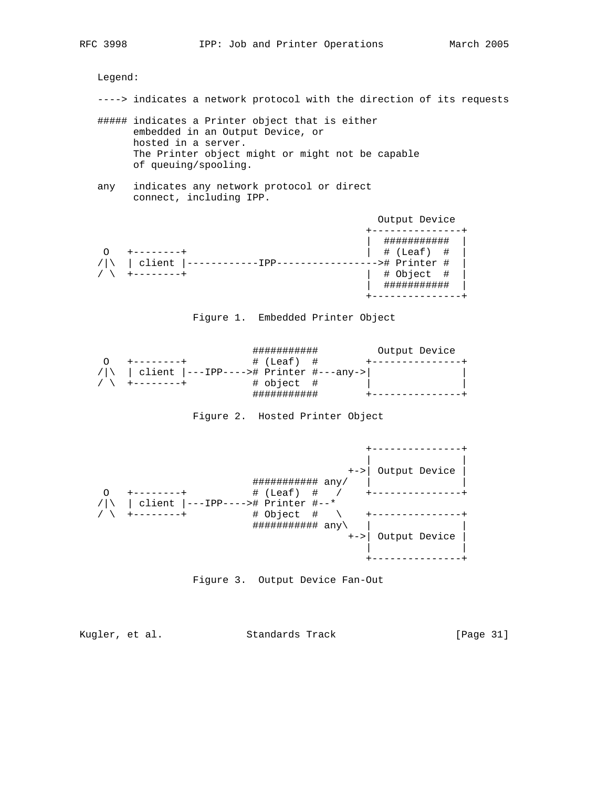Legend:

- ----> indicates a network protocol with the direction of its requests
- ##### indicates a Printer object that is either embedded in an Output Device, or hosted in a server. The Printer object might or might not be capable of queuing/spooling.
- any indicates any network protocol or direct connect, including IPP.

|        | Output Device                                                        |
|--------|----------------------------------------------------------------------|
| client | ********<br># (Leaf) #<br>-># Printer #<br># Object #<br>*********** |



|            | J########                              | Output Device |  |
|------------|----------------------------------------|---------------|--|
|            | # (Leaf) #                             |               |  |
| $/ \wedge$ | client  ---IPP----># Printer #---any-> |               |  |
|            | # object #                             |               |  |
|            | ㅠㅠㅠㅠㅠㅠㅠㅠㅠ                              |               |  |

Figure 2. Hosted Printer Object







Kugler, et al. Standards Track [Page 31]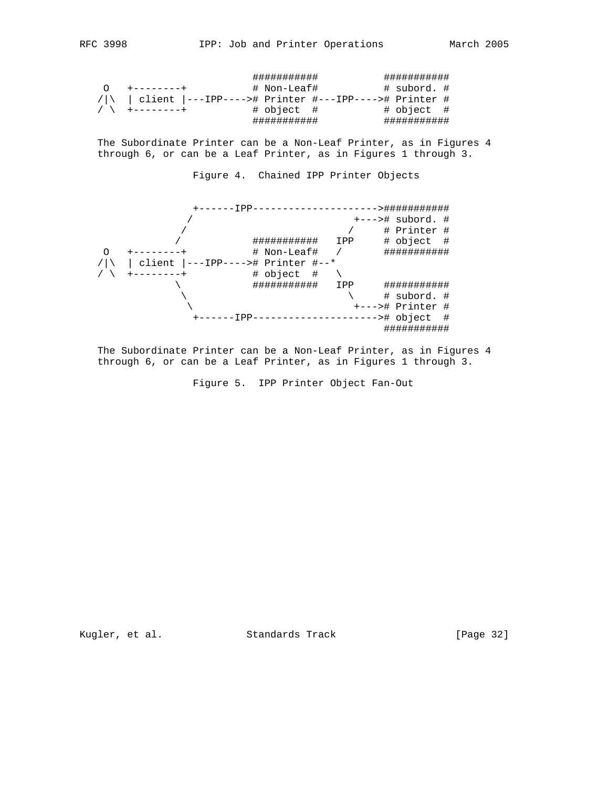|  |                                                             | ########### |  | ########### |  |
|--|-------------------------------------------------------------|-------------|--|-------------|--|
|  | $+ - - - - - - - +$                                         | # Non-Leaf# |  | # subord. # |  |
|  | /  \   client  ---IPP----># Printer #---IPP----># Printer # |             |  |             |  |
|  | / \ +--------+                                              | # object #  |  | # object #  |  |
|  |                                                             | ########### |  | ########### |  |

 The Subordinate Printer can be a Non-Leaf Printer, as in Figures 4 through 6, or can be a Leaf Printer, as in Figures 1 through 3.

Figure 4. Chained IPP Printer Objects



 The Subordinate Printer can be a Non-Leaf Printer, as in Figures 4 through 6, or can be a Leaf Printer, as in Figures 1 through 3.

Figure 5. IPP Printer Object Fan-Out

Kugler, et al. Standards Track [Page 32]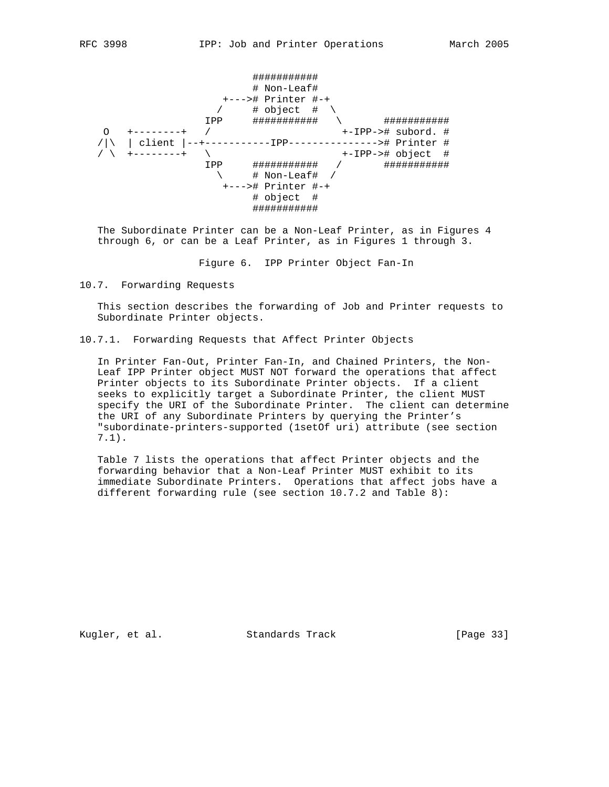########### # Non-Leaf# +---># Printer #-+  $\sqrt{2}$  # object #  $\sqrt{2}$  IPP ########### \ ########### O +--------+ / +-IPP-># subord. # /|\ | client |--+-----------IPP---------------># Printer # / \ +--------+ \ +-IPP-># object # IPP ########### / ###########  $\searrow$   $\qquad$  # Non-Leaf# / +---># Printer #-+ # object # ###########

 The Subordinate Printer can be a Non-Leaf Printer, as in Figures 4 through 6, or can be a Leaf Printer, as in Figures 1 through 3.

Figure 6. IPP Printer Object Fan-In

10.7. Forwarding Requests

 This section describes the forwarding of Job and Printer requests to Subordinate Printer objects.

10.7.1. Forwarding Requests that Affect Printer Objects

 In Printer Fan-Out, Printer Fan-In, and Chained Printers, the Non- Leaf IPP Printer object MUST NOT forward the operations that affect Printer objects to its Subordinate Printer objects. If a client seeks to explicitly target a Subordinate Printer, the client MUST specify the URI of the Subordinate Printer. The client can determine the URI of any Subordinate Printers by querying the Printer's "subordinate-printers-supported (1setOf uri) attribute (see section 7.1).

 Table 7 lists the operations that affect Printer objects and the forwarding behavior that a Non-Leaf Printer MUST exhibit to its immediate Subordinate Printers. Operations that affect jobs have a different forwarding rule (see section 10.7.2 and Table 8):

Kugler, et al. Standards Track [Page 33]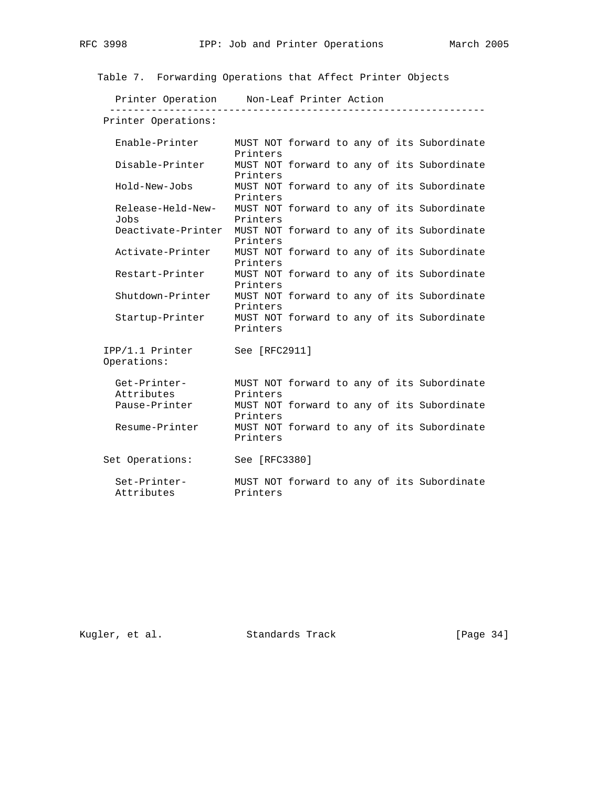| Table 7. Forwarding Operations that Affect Printer Objects |                      |  |  |                                            |
|------------------------------------------------------------|----------------------|--|--|--------------------------------------------|
| Printer Operation Mon-Leaf Printer Action                  |                      |  |  |                                            |
| Printer Operations:                                        |                      |  |  |                                            |
| Enable-Printer                                             | Printers             |  |  | MUST NOT forward to any of its Subordinate |
| Disable-Printer                                            | Printers             |  |  | MUST NOT forward to any of its Subordinate |
| Hold-New-Jobs                                              | Printers             |  |  | MUST NOT forward to any of its Subordinate |
| Release-Held-New-<br>Jobs                                  | Printers             |  |  | MUST NOT forward to any of its Subordinate |
| Deactivate-Printer                                         | Printers             |  |  | MUST NOT forward to any of its Subordinate |
| Activate-Printer                                           | Printers             |  |  | MUST NOT forward to any of its Subordinate |
| Restart-Printer                                            | Printers             |  |  | MUST NOT forward to any of its Subordinate |
| Shutdown-Printer                                           | Printers             |  |  | MUST NOT forward to any of its Subordinate |
| Startup-Printer                                            | Printers             |  |  | MUST NOT forward to any of its Subordinate |
| IPP/1.1 Printer<br>Operations:                             | See [RFC2911]        |  |  |                                            |
| Get-Printer-                                               |                      |  |  | MUST NOT forward to any of its Subordinate |
| Attributes<br>Pause-Printer                                | Printers<br>Printers |  |  | MUST NOT forward to any of its Subordinate |
| Resume-Printer                                             | Printers             |  |  | MUST NOT forward to any of its Subordinate |

Set Operations: See [RFC3380]

 Set-Printer- MUST NOT forward to any of its Subordinate Attributes Printers

Kugler, et al. Standards Track [Page 34]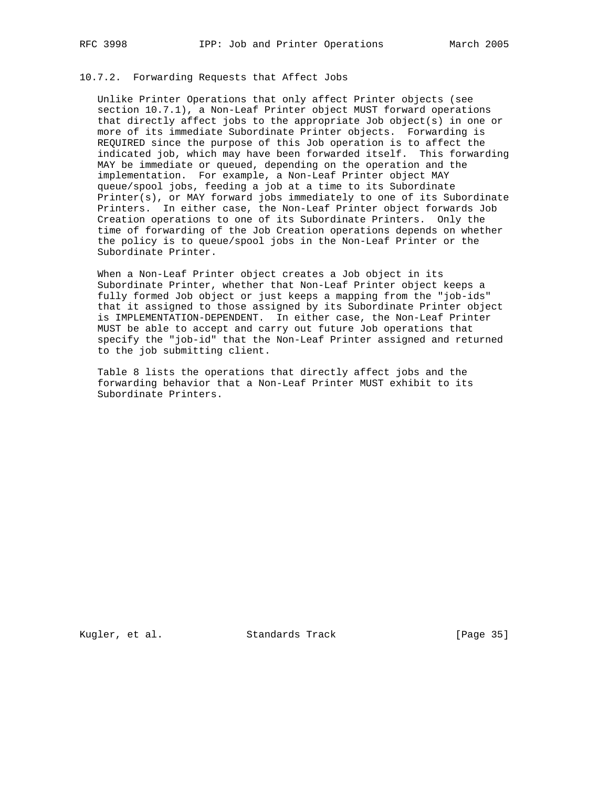## 10.7.2. Forwarding Requests that Affect Jobs

 Unlike Printer Operations that only affect Printer objects (see section 10.7.1), a Non-Leaf Printer object MUST forward operations that directly affect jobs to the appropriate Job object(s) in one or more of its immediate Subordinate Printer objects. Forwarding is REQUIRED since the purpose of this Job operation is to affect the indicated job, which may have been forwarded itself. This forwarding MAY be immediate or queued, depending on the operation and the implementation. For example, a Non-Leaf Printer object MAY queue/spool jobs, feeding a job at a time to its Subordinate Printer(s), or MAY forward jobs immediately to one of its Subordinate Printers. In either case, the Non-Leaf Printer object forwards Job Creation operations to one of its Subordinate Printers. Only the time of forwarding of the Job Creation operations depends on whether the policy is to queue/spool jobs in the Non-Leaf Printer or the Subordinate Printer.

 When a Non-Leaf Printer object creates a Job object in its Subordinate Printer, whether that Non-Leaf Printer object keeps a fully formed Job object or just keeps a mapping from the "job-ids" that it assigned to those assigned by its Subordinate Printer object is IMPLEMENTATION-DEPENDENT. In either case, the Non-Leaf Printer MUST be able to accept and carry out future Job operations that specify the "job-id" that the Non-Leaf Printer assigned and returned to the job submitting client.

 Table 8 lists the operations that directly affect jobs and the forwarding behavior that a Non-Leaf Printer MUST exhibit to its Subordinate Printers.

Kugler, et al. Standards Track [Page 35]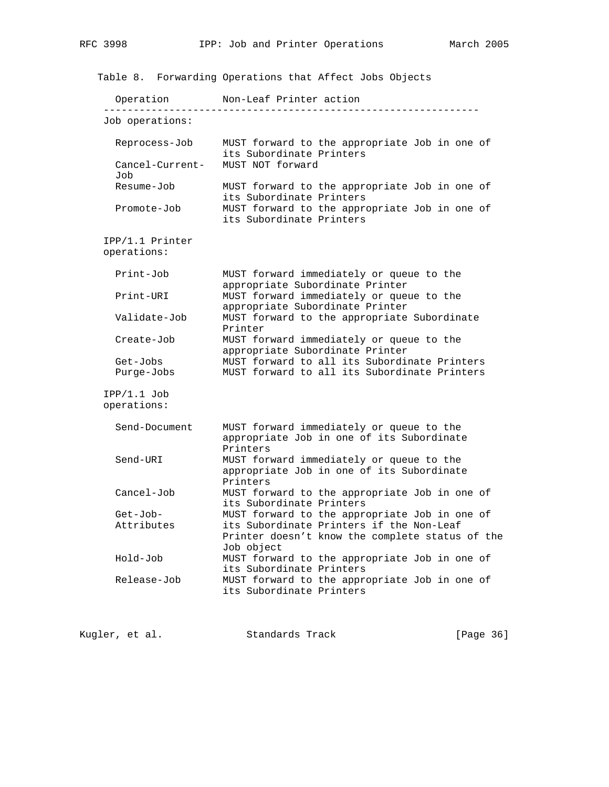Table 8. Forwarding Operations that Affect Jobs Objects Operation Non-Leaf Printer action --------------------------------------------------------------- Job operations: Reprocess-Job MUST forward to the appropriate Job in one of its Subordinate Printers Cancel-Current- MUST NOT forward Job Resume-Job MUST forward to the appropriate Job in one of its Subordinate Printers<br>Promote-Job MUST forward to the appro Promote-Job MUST forward to the appropriate Job in one of its Subordinate Printers IPP/1.1 Printer operations: Print-Job MUST forward immediately or queue to the appropriate Subordinate Printer Print-URI MUST forward immediately or queue to the appropriate Subordinate Printer Validate-Job MUST forward to the appropriate Subordinate Printer Create-Job MUST forward immediately or queue to the appropriate Subordinate Printer Get-Jobs MUST forward to all its Subordinate Printers Purge-Jobs MUST forward to all its Subordinate Printers IPP/1.1 Job operations: Send-Document MUST forward immediately or queue to the appropriate Job in one of its Subordinate Printers Send-URI MUST forward immediately or queue to the appropriate Job in one of its Subordinate Printers Cancel-Job MUST forward to the appropriate Job in one of its Subordinate Printers Get-Job- MUST forward to the appropriate Job in one of Attributes its Subordinate Printers if the Non-Leaf Printer doesn't know the complete status of the Job object Hold-Job MUST forward to the appropriate Job in one of its Subordinate Printers Release-Job MUST forward to the appropriate Job in one of its Subordinate Printers

Kugler, et al. Standards Track [Page 36]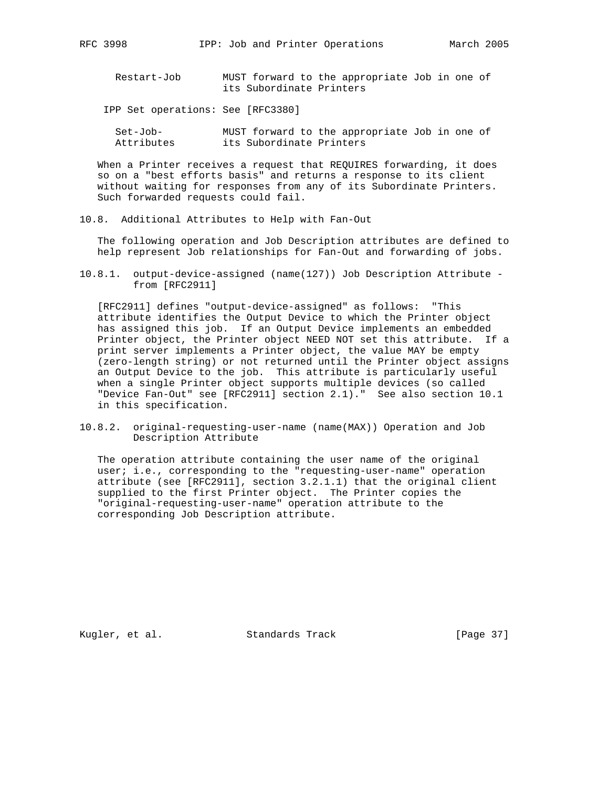Restart-Job MUST forward to the appropriate Job in one of its Subordinate Printers

IPP Set operations: See [RFC3380]

| Set-Job-   | MUST forward to the appropriate Job in one of |  |
|------------|-----------------------------------------------|--|
| Attributes | its Subordinate Printers                      |  |

 When a Printer receives a request that REQUIRES forwarding, it does so on a "best efforts basis" and returns a response to its client without waiting for responses from any of its Subordinate Printers. Such forwarded requests could fail.

10.8. Additional Attributes to Help with Fan-Out

 The following operation and Job Description attributes are defined to help represent Job relationships for Fan-Out and forwarding of jobs.

10.8.1. output-device-assigned (name(127)) Job Description Attribute from [RFC2911]

 [RFC2911] defines "output-device-assigned" as follows: "This attribute identifies the Output Device to which the Printer object has assigned this job. If an Output Device implements an embedded Printer object, the Printer object NEED NOT set this attribute. If a print server implements a Printer object, the value MAY be empty (zero-length string) or not returned until the Printer object assigns an Output Device to the job. This attribute is particularly useful when a single Printer object supports multiple devices (so called "Device Fan-Out" see [RFC2911] section 2.1)." See also section 10.1 in this specification.

10.8.2. original-requesting-user-name (name(MAX)) Operation and Job Description Attribute

 The operation attribute containing the user name of the original user; i.e., corresponding to the "requesting-user-name" operation attribute (see [RFC2911], section 3.2.1.1) that the original client supplied to the first Printer object. The Printer copies the "original-requesting-user-name" operation attribute to the corresponding Job Description attribute.

Kugler, et al. Standards Track [Page 37]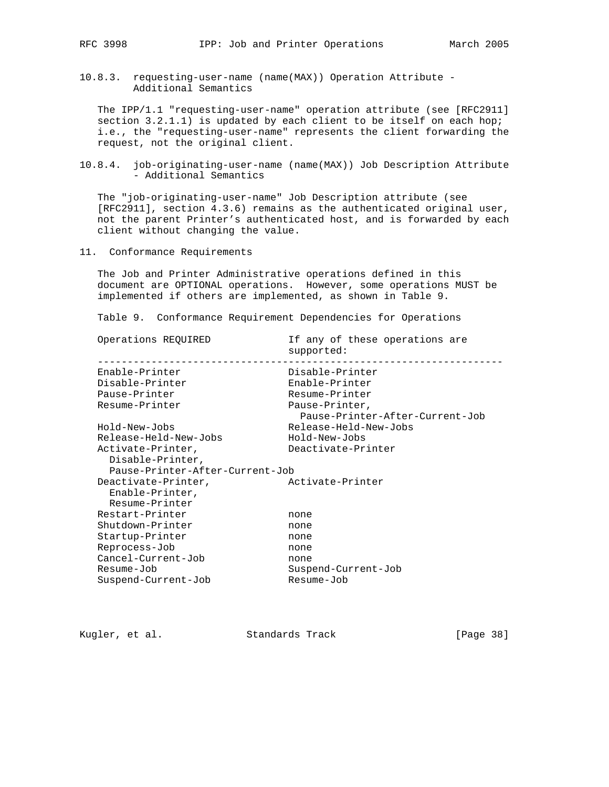10.8.3. requesting-user-name (name(MAX)) Operation Attribute - Additional Semantics

 The IPP/1.1 "requesting-user-name" operation attribute (see [RFC2911] section 3.2.1.1) is updated by each client to be itself on each hop; i.e., the "requesting-user-name" represents the client forwarding the request, not the original client.

10.8.4. job-originating-user-name (name(MAX)) Job Description Attribute - Additional Semantics

 The "job-originating-user-name" Job Description attribute (see [RFC2911], section 4.3.6) remains as the authenticated original user, not the parent Printer's authenticated host, and is forwarded by each client without changing the value.

11. Conformance Requirements

 The Job and Printer Administrative operations defined in this document are OPTIONAL operations. However, some operations MUST be implemented if others are implemented, as shown in Table 9.

Table 9. Conformance Requirement Dependencies for Operations

| Operations REQUIRED                                      | If any of these operations are<br>supported:      |
|----------------------------------------------------------|---------------------------------------------------|
| Enable-Printer                                           | Disable-Printer                                   |
| Disable-Printer                                          | Enable-Printer                                    |
| Pause-Printer                                            | Resume-Printer                                    |
| Resume-Printer                                           | Pause-Printer,<br>Pause-Printer-After-Current-Job |
| Hold-New-Jobs                                            | Release-Held-New-Jobs                             |
| Release-Held-New-Jobs                                    | Hold-New-Jobs                                     |
| Activate-Printer,<br>Disable-Printer,                    | Deactivate-Printer                                |
| Pause-Printer-After-Current-Job                          |                                                   |
| Deactivate-Printer,<br>Enable-Printer,<br>Resume-Printer | Activate-Printer                                  |
| Restart-Printer                                          | none                                              |
| Shutdown-Printer                                         | none                                              |
| Startup-Printer                                          | none                                              |
| Reprocess-Job                                            | none                                              |
| Cancel-Current-Job                                       | none                                              |
| Resume-Job                                               | Suspend-Current-Job                               |
| Suspend-Current-Job                                      | Resume-Job                                        |

Kugler, et al. Standards Track [Page 38]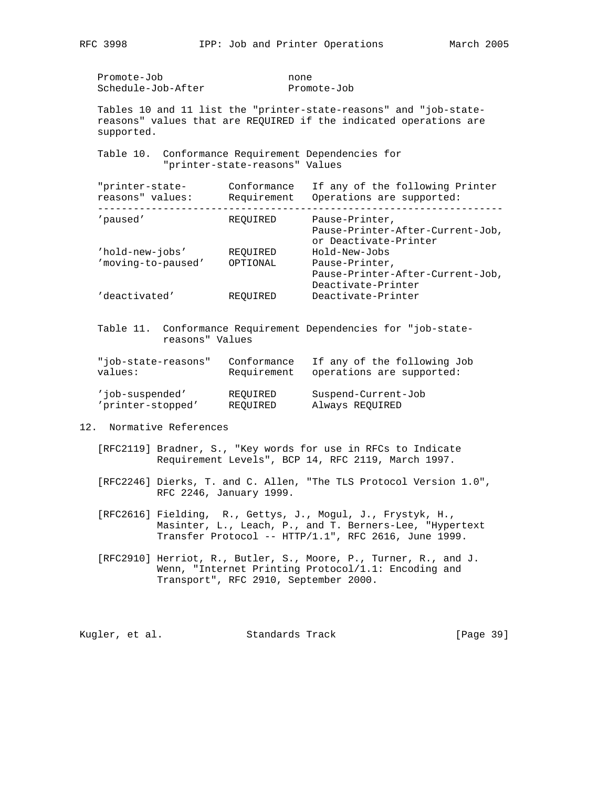Promote-Job none Schedule-Job-After Promote-Job

 Tables 10 and 11 list the "printer-state-reasons" and "job-state reasons" values that are REQUIRED if the indicated operations are supported.

 Table 10. Conformance Requirement Dependencies for "printer-state-reasons" Values

| "printer-state-<br>reasons" values: | Conformance<br>Requirement | If any of the following Printer<br>Operations are supported:                |
|-------------------------------------|----------------------------|-----------------------------------------------------------------------------|
| 'paused'                            | REOUIRED                   | Pause-Printer,<br>Pause-Printer-After-Current-Job,<br>or Deactivate-Printer |
| 'hold-new-jobs'                     | REOUIRED                   | Hold-New-Jobs                                                               |
| 'moving-to-paused'                  | OPTIONAL                   | Pause-Printer,                                                              |
|                                     |                            | Pause-Printer-After-Current-Job,<br>Deactivate-Printer                      |
| 'deactivated'                       | REOUIRED                   | Deactivate-Printer                                                          |
|                                     |                            |                                                                             |

 Table 11. Conformance Requirement Dependencies for "job-state reasons" Values

| "job-state-reasons" | Conformance | If any of the following Job |
|---------------------|-------------|-----------------------------|
| values:             | Requirement | operations are supported:   |
| 'iob-suspended'     | REOUIRED    | Suspend-Current-Job         |
| 'printer-stopped'   | REOUIRED    | Always REQUIRED             |

12. Normative References

 [RFC2119] Bradner, S., "Key words for use in RFCs to Indicate Requirement Levels", BCP 14, RFC 2119, March 1997.

- [RFC2246] Dierks, T. and C. Allen, "The TLS Protocol Version 1.0", RFC 2246, January 1999.
- [RFC2616] Fielding, R., Gettys, J., Mogul, J., Frystyk, H., Masinter, L., Leach, P., and T. Berners-Lee, "Hypertext Transfer Protocol -- HTTP/1.1", RFC 2616, June 1999.
- [RFC2910] Herriot, R., Butler, S., Moore, P., Turner, R., and J. Wenn, "Internet Printing Protocol/1.1: Encoding and Transport", RFC 2910, September 2000.

Kugler, et al. Standards Track [Page 39]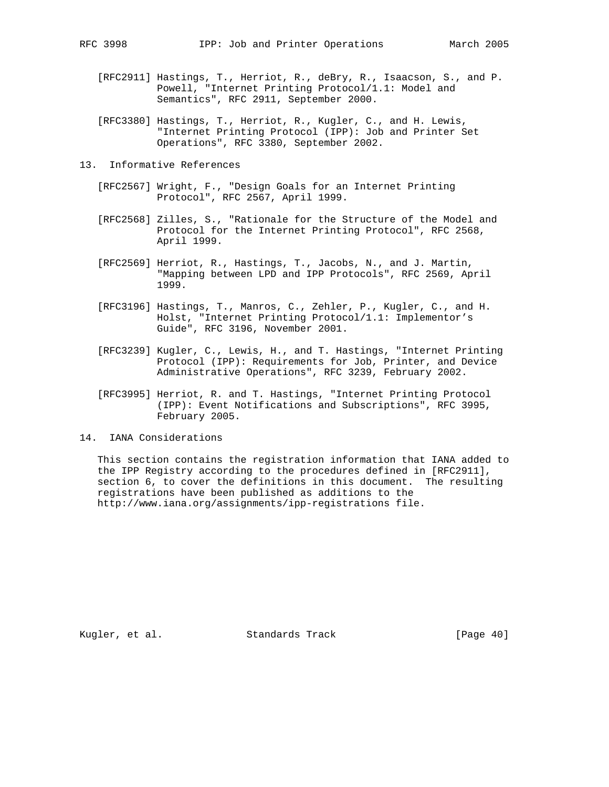- [RFC2911] Hastings, T., Herriot, R., deBry, R., Isaacson, S., and P. Powell, "Internet Printing Protocol/1.1: Model and Semantics", RFC 2911, September 2000.
- [RFC3380] Hastings, T., Herriot, R., Kugler, C., and H. Lewis, "Internet Printing Protocol (IPP): Job and Printer Set Operations", RFC 3380, September 2002.
- 13. Informative References
	- [RFC2567] Wright, F., "Design Goals for an Internet Printing Protocol", RFC 2567, April 1999.
	- [RFC2568] Zilles, S., "Rationale for the Structure of the Model and Protocol for the Internet Printing Protocol", RFC 2568, April 1999.
	- [RFC2569] Herriot, R., Hastings, T., Jacobs, N., and J. Martin, "Mapping between LPD and IPP Protocols", RFC 2569, April 1999.
	- [RFC3196] Hastings, T., Manros, C., Zehler, P., Kugler, C., and H. Holst, "Internet Printing Protocol/1.1: Implementor's Guide", RFC 3196, November 2001.
	- [RFC3239] Kugler, C., Lewis, H., and T. Hastings, "Internet Printing Protocol (IPP): Requirements for Job, Printer, and Device Administrative Operations", RFC 3239, February 2002.
	- [RFC3995] Herriot, R. and T. Hastings, "Internet Printing Protocol (IPP): Event Notifications and Subscriptions", RFC 3995, February 2005.
- 14. IANA Considerations

 This section contains the registration information that IANA added to the IPP Registry according to the procedures defined in [RFC2911], section 6, to cover the definitions in this document. The resulting registrations have been published as additions to the http://www.iana.org/assignments/ipp-registrations file.

Kugler, et al. Standards Track [Page 40]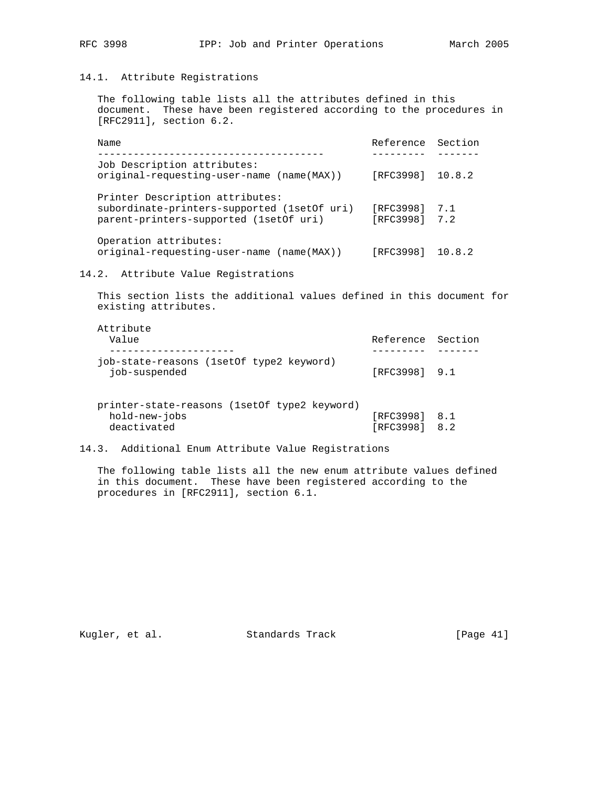## 14.1. Attribute Registrations

 The following table lists all the attributes defined in this document. These have been registered according to the procedures in [RFC2911], section 6.2.

| Name                                                                                                                       | Reference Section          |     |
|----------------------------------------------------------------------------------------------------------------------------|----------------------------|-----|
|                                                                                                                            |                            |     |
| Job Description attributes:<br>original-requesting-user-name (name(MAX))                                                   | [RFC3998] 10.8.2           |     |
| Printer Description attributes:<br>subordinate-printers-supported (1set Of uri)<br>parent-printers-supported (1set Of uri) | [RFC3998]<br>[RFC3998] 7.2 | 7.1 |
| Operation attributes:<br>original-requesting-user-name (name(MAX))                                                         | [RFC3998] 10.8.2           |     |

### 14.2. Attribute Value Registrations

 This section lists the additional values defined in this document for existing attributes.

| Attribute                                  |                   |  |
|--------------------------------------------|-------------------|--|
| Value                                      | Reference Section |  |
|                                            |                   |  |
| job-state-reasons (1set of type 2 keyword) |                   |  |
| job-suspended                              | $[RFC3998]$ 9.1   |  |

| printer-state-reasons (1setOf type2 keyword) |  |               |  |
|----------------------------------------------|--|---------------|--|
| hold-new-jobs                                |  | [RFC3998] 8.1 |  |
| deactivated                                  |  | [RFC3998] 8.2 |  |

## 14.3. Additional Enum Attribute Value Registrations

 The following table lists all the new enum attribute values defined in this document. These have been registered according to the procedures in [RFC2911], section 6.1.

Kugler, et al. Standards Track [Page 41]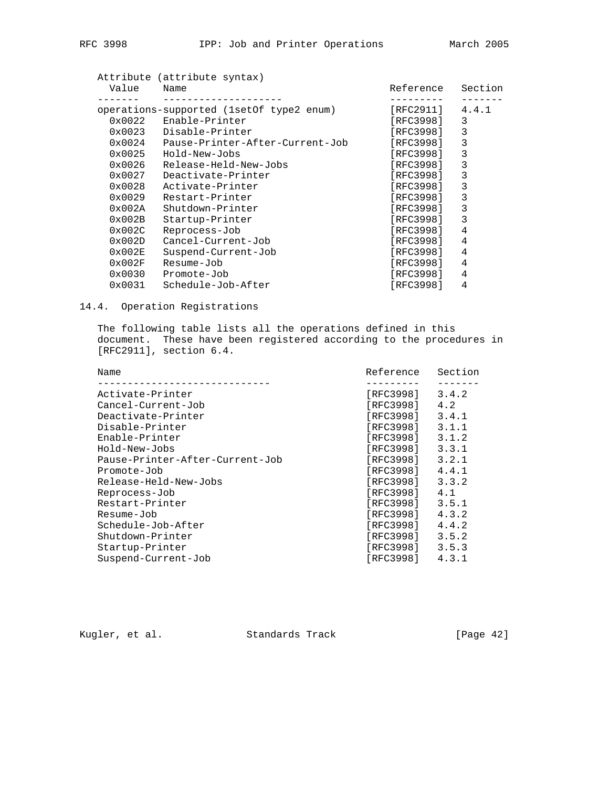|--|

| Value            | Attribute (attribute syntax)<br>Name       | Reference | Section |
|------------------|--------------------------------------------|-----------|---------|
|                  |                                            |           |         |
|                  | operations-supported (1set Of type 2 enum) | [RFC2911] | 4.4.1   |
| $0 \times 0022$  | Enable-Printer                             | [RFC3998] | 3       |
| $0 \times 0023$  | Disable-Printer                            | [RFC3998] | 3       |
| $0 \times 0024$  | Pause-Printer-After-Current-Job            | [RFC3998] | 3       |
| $0 \times 0025$  | Hold-New-Jobs                              | [RFC3998] | 3       |
| $0 \times 0026$  | Release-Held-New-Jobs                      | [RFC3998] | 3       |
| $0 \times 0027$  | Deactivate-Printer                         | [RFC3998] | 3       |
| $0 \times 0028$  | Activate-Printer                           | [RFC3998] | 3       |
| $0 \times 0029$  | Restart-Printer                            | [RFC3998] | 3       |
| $0 \times 002$ A | Shutdown-Printer                           | [RFC3998] | 3       |
| $0 \times 002B$  | Startup-Printer                            | [RFC3998] | 3       |
| $0 \times 002C$  | Reprocess-Job                              | [RFC3998] | 4       |
| $0 \times 002D$  | Cancel-Current-Job                         | [RFC3998] | 4       |
| $0 \times 002E$  | Suspend-Current-Job                        | [RFC3998] | 4       |
| $0 \times 002F$  | Resume-Job                                 | [RFC3998] | 4       |
| 0x0030           | Promote-Job                                | [RFC3998] | 4       |
| 0x0031           | Schedule-Job-After                         | [RFC3998] | 4       |

## 14.4. Operation Registrations

 The following table lists all the operations defined in this document. These have been registered according to the procedures in [RFC2911], section 6.4.

| Name                            | Reference | Section |
|---------------------------------|-----------|---------|
| Activate-Printer                | [RFC3998] | 3.4.2   |
| Cancel-Current-Job              | [RFC3998] | 4.2     |
| Deactivate-Printer              | [RFC3998] | 3.4.1   |
| Disable-Printer                 | [RFC3998] | 3.1.1   |
| Enable-Printer                  | [RFC3998] | 3.1.2   |
| Hold-New-Jobs                   | [RFC3998] | 3.3.1   |
| Pause-Printer-After-Current-Job | [RFC3998] | 3.2.1   |
| Promote-Job                     | [RFC3998] | 4.4.1   |
| Release-Held-New-Jobs           | [RFC3998] | 3.3.2   |
| Reprocess-Job                   | [RFC3998] | 4.1     |
| Restart-Printer                 | [RFC3998] | 3.5.1   |
| Resume-Job                      | [RFC3998] | 4.3.2   |
| Schedule-Job-After              | [RFC3998] | 4.4.2   |
| Shutdown-Printer                | [RFC3998] | 3.5.2   |
| Startup-Printer                 | [RFC3998] | 3.5.3   |
| Suspend-Current-Job             | [RFC3998] | 4.3.1   |

Kugler, et al. Standards Track [Page 42]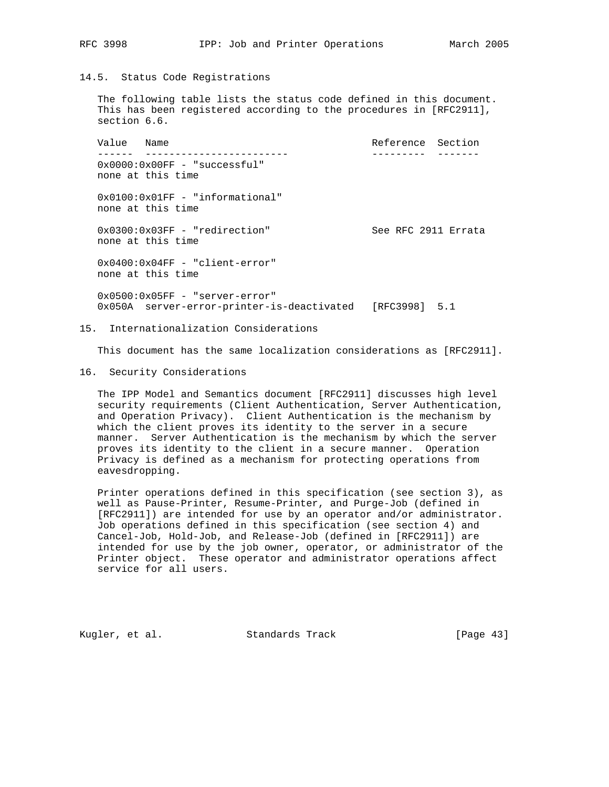## RFC 3998 IPP: Job and Printer Operations March 2005

#### 14.5. Status Code Registrations

 The following table lists the status code defined in this document. This has been registered according to the procedures in [RFC2911], section 6.6.

Value Name  $\blacksquare$  ------ ------------------------ --------- ------- 0x0000:0x00FF - "successful" none at this time 0x0100:0x01FF - "informational" none at this time 0x0300:0x03FF - "redirection" See RFC 2911 Errata none at this time 0x0400:0x04FF - "client-error" none at this time 0x0500:0x05FF - "server-error" 0x050A server-error-printer-is-deactivated [RFC3998] 5.1

#### 15. Internationalization Considerations

This document has the same localization considerations as [RFC2911].

#### 16. Security Considerations

 The IPP Model and Semantics document [RFC2911] discusses high level security requirements (Client Authentication, Server Authentication, and Operation Privacy). Client Authentication is the mechanism by which the client proves its identity to the server in a secure manner. Server Authentication is the mechanism by which the server proves its identity to the client in a secure manner. Operation Privacy is defined as a mechanism for protecting operations from eavesdropping.

 Printer operations defined in this specification (see section 3), as well as Pause-Printer, Resume-Printer, and Purge-Job (defined in [RFC2911]) are intended for use by an operator and/or administrator. Job operations defined in this specification (see section 4) and Cancel-Job, Hold-Job, and Release-Job (defined in [RFC2911]) are intended for use by the job owner, operator, or administrator of the Printer object. These operator and administrator operations affect service for all users.

Kugler, et al. Standards Track [Page 43]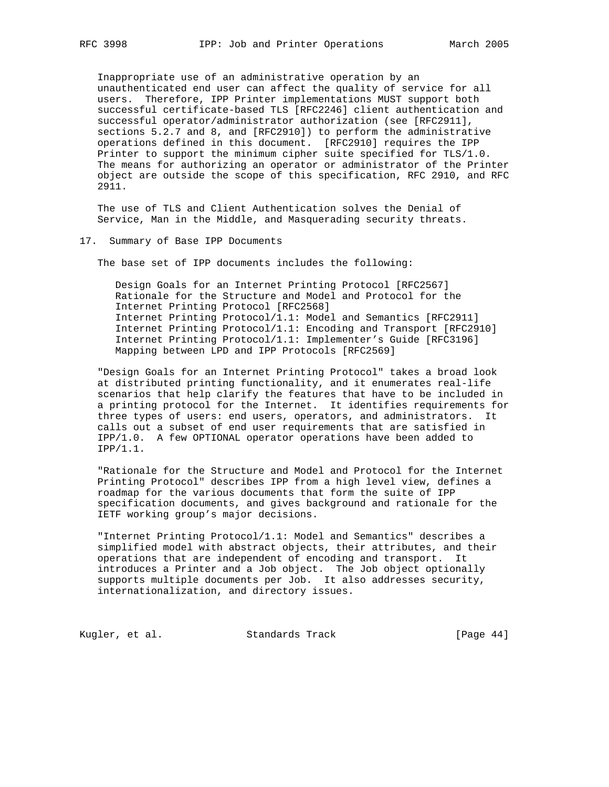Inappropriate use of an administrative operation by an unauthenticated end user can affect the quality of service for all users. Therefore, IPP Printer implementations MUST support both successful certificate-based TLS [RFC2246] client authentication and successful operator/administrator authorization (see [RFC2911], sections 5.2.7 and 8, and [RFC2910]) to perform the administrative operations defined in this document. [RFC2910] requires the IPP Printer to support the minimum cipher suite specified for TLS/1.0. The means for authorizing an operator or administrator of the Printer object are outside the scope of this specification, RFC 2910, and RFC 2911.

 The use of TLS and Client Authentication solves the Denial of Service, Man in the Middle, and Masquerading security threats.

#### 17. Summary of Base IPP Documents

The base set of IPP documents includes the following:

 Design Goals for an Internet Printing Protocol [RFC2567] Rationale for the Structure and Model and Protocol for the Internet Printing Protocol [RFC2568] Internet Printing Protocol/1.1: Model and Semantics [RFC2911] Internet Printing Protocol/1.1: Encoding and Transport [RFC2910] Internet Printing Protocol/1.1: Implementer's Guide [RFC3196] Mapping between LPD and IPP Protocols [RFC2569]

 "Design Goals for an Internet Printing Protocol" takes a broad look at distributed printing functionality, and it enumerates real-life scenarios that help clarify the features that have to be included in a printing protocol for the Internet. It identifies requirements for three types of users: end users, operators, and administrators. It calls out a subset of end user requirements that are satisfied in IPP/1.0. A few OPTIONAL operator operations have been added to IPP/1.1.

 "Rationale for the Structure and Model and Protocol for the Internet Printing Protocol" describes IPP from a high level view, defines a roadmap for the various documents that form the suite of IPP specification documents, and gives background and rationale for the IETF working group's major decisions.

 "Internet Printing Protocol/1.1: Model and Semantics" describes a simplified model with abstract objects, their attributes, and their operations that are independent of encoding and transport. It introduces a Printer and a Job object. The Job object optionally supports multiple documents per Job. It also addresses security, internationalization, and directory issues.

Kugler, et al. Standards Track [Page 44]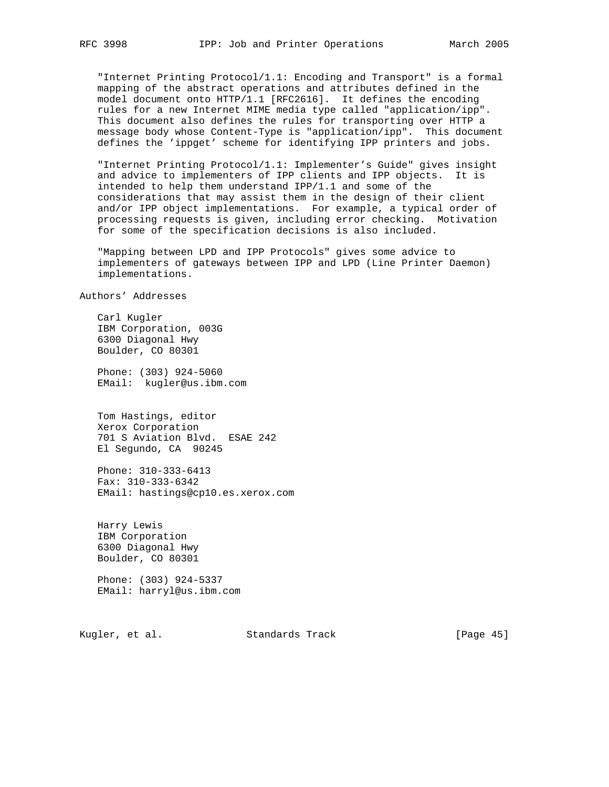"Internet Printing Protocol/1.1: Encoding and Transport" is a formal mapping of the abstract operations and attributes defined in the model document onto HTTP/1.1 [RFC2616]. It defines the encoding rules for a new Internet MIME media type called "application/ipp". This document also defines the rules for transporting over HTTP a message body whose Content-Type is "application/ipp". This document defines the 'ippget' scheme for identifying IPP printers and jobs.

 "Internet Printing Protocol/1.1: Implementer's Guide" gives insight and advice to implementers of IPP clients and IPP objects. It is intended to help them understand IPP/1.1 and some of the considerations that may assist them in the design of their client and/or IPP object implementations. For example, a typical order of processing requests is given, including error checking. Motivation for some of the specification decisions is also included.

 "Mapping between LPD and IPP Protocols" gives some advice to implementers of gateways between IPP and LPD (Line Printer Daemon) implementations.

Authors' Addresses

 Carl Kugler IBM Corporation, 003G 6300 Diagonal Hwy Boulder, CO 80301

 Phone: (303) 924-5060 EMail: kugler@us.ibm.com

 Tom Hastings, editor Xerox Corporation 701 S Aviation Blvd. ESAE 242 El Segundo, CA 90245

 Phone: 310-333-6413 Fax: 310-333-6342 EMail: hastings@cp10.es.xerox.com

 Harry Lewis IBM Corporation 6300 Diagonal Hwy Boulder, CO 80301

 Phone: (303) 924-5337 EMail: harryl@us.ibm.com

Kugler, et al. Standards Track [Page 45]